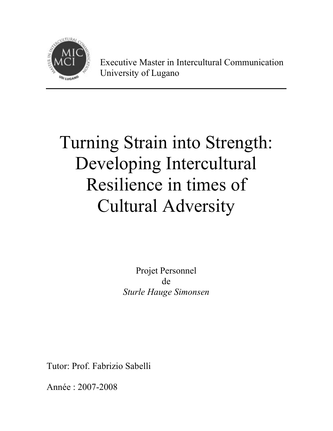

Executive Master in Intercultural Communication University of Lugano

# Turning Strain into Strength: Developing Intercultural Resilience in times of Cultural Adversity

Projet Personnel de *Sturle Hauge Simonsen* 

Tutor: Prof. Fabrizio Sabelli

Année : 2007-2008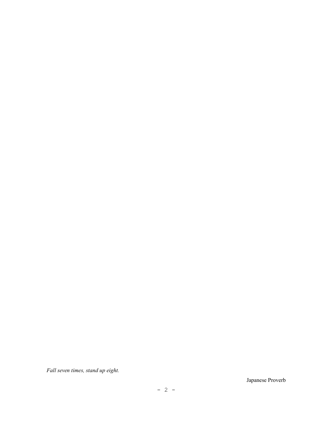*Fall seven times, stand up eight.* 

Japanese Proverb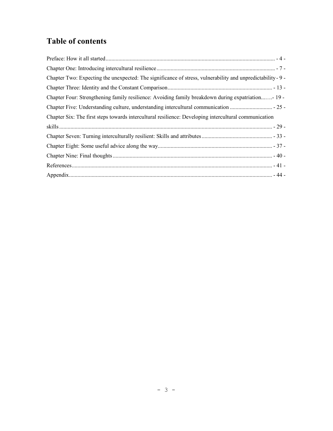# **Table of contents**

| Chapter Two: Expecting the unexpected: The significance of stress, vulnerability and unpredictability - 9 - |  |
|-------------------------------------------------------------------------------------------------------------|--|
|                                                                                                             |  |
| Chapter Four: Strengthening family resilience: Avoiding family breakdown during expatriation- 19 -          |  |
|                                                                                                             |  |
| Chapter Six: The first steps towards intercultural resilience: Developing intercultural communication       |  |
|                                                                                                             |  |
|                                                                                                             |  |
|                                                                                                             |  |
|                                                                                                             |  |
|                                                                                                             |  |
|                                                                                                             |  |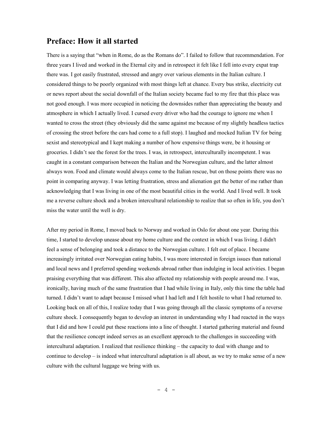# **Preface: How it all started**

There is a saying that "when in Rome, do as the Romans do". I failed to follow that recommendation. For three years I lived and worked in the Eternal city and in retrospect it felt like I fell into every expat trap there was. I got easily frustrated, stressed and angry over various elements in the Italian culture. I considered things to be poorly organized with most things left at chance. Every bus strike, electricity cut or news report about the social downfall of the Italian society became fuel to my fire that this place was not good enough. I was more occupied in noticing the downsides rather than appreciating the beauty and atmosphere in which I actually lived. I cursed every driver who had the courage to ignore me when I wanted to cross the street (they obviously did the same against me because of my slightly headless tactics of crossing the street before the cars had come to a full stop). I laughed and mocked Italian TV for being sexist and stereotypical and I kept making a number of how expensive things were, be it housing or groceries. I didn't see the forest for the trees. I was, in retrospect, interculturally incompetent. I was caught in a constant comparison between the Italian and the Norwegian culture, and the latter almost always won. Food and climate would always come to the Italian rescue, but on those points there was no point in comparing anyway. I was letting frustration, stress and alienation get the better of me rather than acknowledging that I was living in one of the most beautiful cities in the world. And I lived well. It took me a reverse culture shock and a broken intercultural relationship to realize that so often in life, you don't miss the water until the well is dry.

After my period in Rome, I moved back to Norway and worked in Oslo for about one year. During this time, I started to develop unease about my home culture and the context in which I was living. I didn't feel a sense of belonging and took a distance to the Norwegian culture. I felt out of place. I became increasingly irritated over Norwegian eating habits, I was more interested in foreign issues than national and local news and I preferred spending weekends abroad rather than indulging in local activities. I began praising everything that was different. This also affected my relationship with people around me. I was, ironically, having much of the same frustration that I had while living in Italy, only this time the table had turned. I didn't want to adapt because I missed what I had left and I felt hostile to what I had returned to. Looking back on all of this, I realize today that I was going through all the classic symptoms of a reverse culture shock. I consequently began to develop an interest in understanding why I had reacted in the ways that I did and how I could put these reactions into a line of thought. I started gathering material and found that the resilience concept indeed serves as an excellent approach to the challenges in succeeding with intercultural adaptation. I realized that resilience thinking – the capacity to deal with change and to continue to develop – is indeed what intercultural adaptation is all about, as we try to make sense of a new culture with the cultural luggage we bring with us.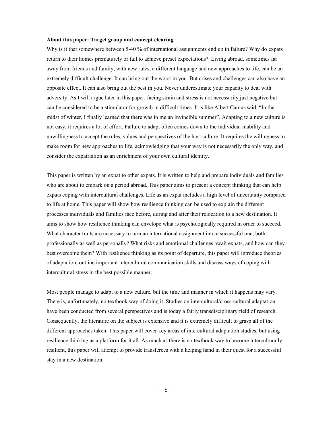#### **About this paper: Target group and concept clearing**

Why is it that somewhere between 5-40 % of international assignments end up in failure? Why do expats return to their homes prematurely or fail to achieve preset expectations? Living abroad, sometimes far away from friends and family, with new rules, a different language and new approaches to life, can be an extremely difficult challenge. It can bring out the worst in you. But crises and challenges can also have an opposite effect. It can also bring out the best in you. Never underestimate your capacity to deal with adversity. As I will argue later in this paper, facing strain and stress is not necessarily just negative but can be considered to be a stimulator for growth in difficult times. It is like Albert Camus said, "In the midst of winter, I finally learned that there was in me an invincible summer". Adapting to a new culture is not easy, it requires a lot of effort. Failure to adapt often comes down to the individual inability and unwillingness to accept the rules, values and perspectives of the host culture. It requires the willingness to make room for new approaches to life, acknowledging that your way is not necessarily the only way, and consider the expatriation as an enrichment of your own cultural identity.

This paper is written by an expat to other expats. It is written to help and prepare individuals and families who are about to embark on a period abroad. This paper aims to present a concept thinking that can help expats coping with intercultural challenges. Life as an expat includes a high level of uncertainty compared to life at home. This paper will show how resilience thinking can be used to explain the different processes individuals and families face before, during and after their relocation to a new destination. It aims to show how resilience thinking can envelope what is psychologically required in order to succeed. What character traits are necessary to turn an international assignment into a successful one, both professionally as well as personally? What risks and emotional challenges await expats, and how can they best overcome them? With resilience thinking as its point of departure, this paper will introduce theories of adaptation, outline important intercultural communication skills and discuss ways of coping with intercultural stress in the best possible manner.

Most people manage to adapt to a new culture, but the time and manner in which it happens may vary. There is, unfortunately, no textbook way of doing it. Studies on intercultural/cross-cultural adaptation have been conducted from several perspectives and is today a fairly transdisciplinary field of research. Consequently, the literature on the subject is extensive and it is extremely difficult to grasp all of the different approaches taken. This paper will cover key areas of intercultural adaptation studies, but using resilience thinking as a platform for it all. As much as there is no textbook way to become interculturally resilient, this paper will attempt to provide transferees with a helping hand in their quest for a successful stay in a new destination.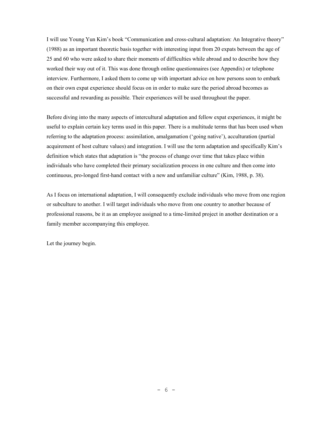I will use Young Yun Kim's book "Communication and cross-cultural adaptation: An Integrative theory" (1988) as an important theoretic basis together with interesting input from 20 expats between the age of 25 and 60 who were asked to share their moments of difficulties while abroad and to describe how they worked their way out of it. This was done through online questionnaires (see Appendix) or telephone interview. Furthermore, I asked them to come up with important advice on how persons soon to embark on their own expat experience should focus on in order to make sure the period abroad becomes as successful and rewarding as possible. Their experiences will be used throughout the paper.

Before diving into the many aspects of intercultural adaptation and fellow expat experiences, it might be useful to explain certain key terms used in this paper. There is a multitude terms that has been used when referring to the adaptation process: assimilation, amalgamation ('going native'), acculturation (partial acquirement of host culture values) and integration. I will use the term adaptation and specifically Kim's definition which states that adaptation is "the process of change over time that takes place within individuals who have completed their primary socialization process in one culture and then come into continuous, pro-longed first-hand contact with a new and unfamiliar culture" (Kim, 1988, p. 38).

As I focus on international adaptation, I will consequently exclude individuals who move from one region or subculture to another. I will target individuals who move from one country to another because of professional reasons, be it as an employee assigned to a time-limited project in another destination or a family member accompanying this employee.

Let the journey begin.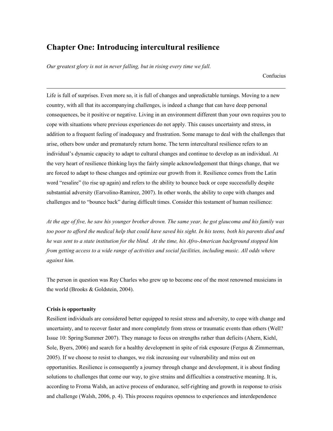# **Chapter One: Introducing intercultural resilience**

*Our greatest glory is not in never falling, but in rising every time we fall.* 

Confucius

Life is full of surprises. Even more so, it is full of changes and unpredictable turnings. Moving to a new country, with all that its accompanying challenges, is indeed a change that can have deep personal consequences, be it positive or negative. Living in an environment different than your own requires you to cope with situations where previous experiences do not apply. This causes uncertainty and stress, in addition to a frequent feeling of inadequacy and frustration. Some manage to deal with the challenges that arise, others bow under and prematurely return home. The term intercultural resilience refers to an individual's dynamic capacity to adapt to cultural changes and continue to develop as an individual. At the very heart of resilience thinking lays the fairly simple acknowledgement that things change, that we are forced to adapt to these changes and optimize our growth from it. Resilience comes from the Latin word "resalire" (to rise up again) and refers to the ability to bounce back or cope successfully despite substantial adversity (Earvolino-Ramirez, 2007). In other words, the ability to cope with changes and challenges and to "bounce back" during difficult times. Consider this testament of human resilience:

*At the age of five, he saw his younger brother drown. The same year, he got glaucoma and his family was too poor to afford the medical help that could have saved his sight. In his teens, both his parents died and he was sent to a state institution for the blind. At the time, his Afro-American background stopped him from getting access to a wide range of activities and social facilities, including music. All odds where against him.* 

The person in question was Ray Charles who grew up to become one of the most renowned musicians in the world (Brooks & Goldstein, 2004).

## **Crisis is opportunity**

 $\overline{a}$ 

Resilient individuals are considered better equipped to resist stress and adversity, to cope with change and uncertainty, and to recover faster and more completely from stress or traumatic events than others (Well? Issue 10: Spring/Summer 2007). They manage to focus on strengths rather than deficits (Ahern, Kiehl, Sole, Byers, 2006) and search for a healthy development in spite of risk exposure (Fergus & Zimmerman, 2005). If we choose to resist to changes, we risk increasing our vulnerability and miss out on opportunities. Resilience is consequently a journey through change and development, it is about finding solutions to challenges that come our way, to give strains and difficulties a constructive meaning. It is, according to Froma Walsh, an active process of endurance, self-righting and growth in response to crisis and challenge (Walsh, 2006, p. 4). This process requires openness to experiences and interdependence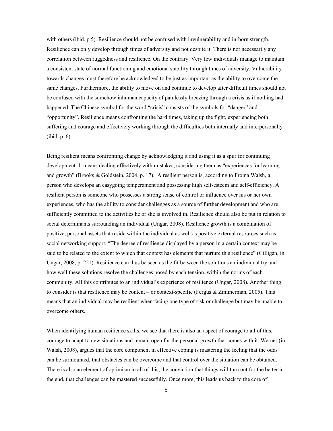with others (ibid. p.5). Resilience should not be confused with invulnerability and in-born strength. Resilience can only develop through times of adversity and not despite it. There is not necessarily any correlation between ruggedness and resilience. On the contrary. Very few individuals manage to maintain a consistent state of normal functioning and emotional stability through times of adversity. Vulnerability towards changes must therefore be acknowledged to be just as important as the ability to overcome the same changes. Furthermore, the ability to move on and continue to develop after difficult times should not be confused with the somehow inhuman capacity of painlessly breezing through a crisis as if nothing had happened. The Chinese symbol for the word "crisis" consists of the symbols for "danger" and "opportunity". Resilience means confronting the hard times, taking up the fight, experiencing both suffering and courage and effectively working through the difficulties both internally and interpersonally (ibid. p. 6).

Being resilient means confronting change by acknowledging it and using it as a spur for continuing development. It means dealing effectively with mistakes, considering them as "experiences for learning and growth" (Brooks & Goldstein, 2004, p. 17). A resilient person is, according to Froma Walsh, a person who develops an easygoing temperament and possessing high self-esteem and self-efficiency. A resilient person is someone who possesses a strong sense of control or influence over his or her own experiences, who has the ability to consider challenges as a source of further development and who are sufficiently committed to the activities he or she is involved in. Resilience should also be put in relation to social determinants surrounding an individual (Ungar, 2008). Resilience growth is a combination of positive, personal assets that reside within the individual as well as positive external resources such as social networking support. "The degree of resilience displayed by a person in a certain context may be said to be related to the extent to which that context has elements that nurture this resilience" (Gilligan, in Ungar, 2008, p. 221). Resilience can thus be seen as the fit between the solutions an individual try and how well these solutions resolve the challenges posed by each tension, within the norms of each community. All this contributes to an individual's experience of resilience (Ungar, 2008). Another thing to consider is that resilience may be content – or context-specific (Fergus & Zimmerman, 2005). This means that an individual may be resilient when facing one type of risk or challenge but may be unable to overcome others.

When identifying human resilience skills, we see that there is also an aspect of courage to all of this, courage to adapt to new situations and remain open for the personal growth that comes with it. Werner (in Walsh, 2008), argues that the core component in effective coping is mastering the feeling that the odds can be surmounted, that obstacles can be overcome and that control over the situation can be obtained. There is also an element of optimism in all of this, the conviction that things will turn out for the better in the end, that challenges can be mastered successfully. Once more, this leads us back to the core of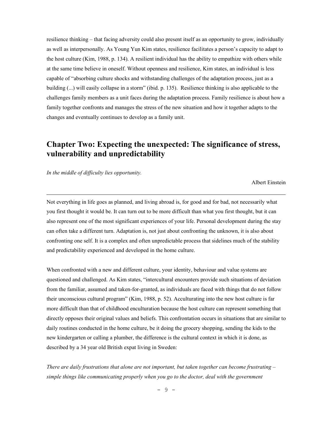resilience thinking – that facing adversity could also present itself as an opportunity to grow, individually as well as interpersonally. As Young Yun Kim states, resilience facilitates a person's capacity to adapt to the host culture (Kim, 1988, p. 134). A resilient individual has the ability to empathize with others while at the same time believe in oneself. Without openness and resilience, Kim states, an individual is less capable of "absorbing culture shocks and withstanding challenges of the adaptation process, just as a building (...) will easily collapse in a storm" (ibid. p. 135). Resilience thinking is also applicable to the challenges family members as a unit faces during the adaptation process. Family resilience is about how a family together confronts and manages the stress of the new situation and how it together adapts to the changes and eventually continues to develop as a family unit.

# **Chapter Two: Expecting the unexpected: The significance of stress, vulnerability and unpredictability**

*In the middle of difficulty lies opportunity.* 

 $\overline{a}$ 

Albert Einstein

Not everything in life goes as planned, and living abroad is, for good and for bad, not necessarily what you first thought it would be. It can turn out to be more difficult than what you first thought, but it can also represent one of the most significant experiences of your life. Personal development during the stay can often take a different turn. Adaptation is, not just about confronting the unknown, it is also about confronting one self. It is a complex and often unpredictable process that sidelines much of the stability and predictability experienced and developed in the home culture.

When confronted with a new and different culture, your identity, behaviour and value systems are questioned and challenged. As Kim states, "intercultural encounters provide such situations of deviation from the familiar, assumed and taken-for-granted, as individuals are faced with things that do not follow their unconscious cultural program" (Kim, 1988, p. 52). Acculturating into the new host culture is far more difficult than that of childhood enculturation because the host culture can represent something that directly opposes their original values and beliefs. This confrontation occurs in situations that are similar to daily routines conducted in the home culture, be it doing the grocery shopping, sending the kids to the new kindergarten or calling a plumber, the difference is the cultural context in which it is done, as described by a 34 year old British expat living in Sweden:

*There are daily frustrations that alone are not important, but taken together can become frustrating – simple things like communicating properly when you go to the doctor, deal with the government*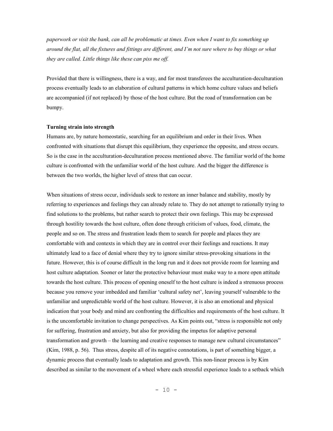*paperwork or visit the bank, can all be problematic at times. Even when I want to fix something up around the flat, all the fixtures and fittings are different, and I'm not sure where to buy things or what they are called. Little things like these can piss me off.* 

Provided that there is willingness, there is a way, and for most transferees the acculturation-deculturation process eventually leads to an elaboration of cultural patterns in which home culture values and beliefs are accompanied (if not replaced) by those of the host culture. But the road of transformation can be bumpy.

#### **Turning strain into strength**

Humans are, by nature homeostatic, searching for an equilibrium and order in their lives. When confronted with situations that disrupt this equilibrium, they experience the opposite, and stress occurs. So is the case in the acculturation-deculturation process mentioned above. The familiar world of the home culture is confronted with the unfamiliar world of the host culture. And the bigger the difference is between the two worlds, the higher level of stress that can occur.

When situations of stress occur, individuals seek to restore an inner balance and stability, mostly by referring to experiences and feelings they can already relate to. They do not attempt to rationally trying to find solutions to the problems, but rather search to protect their own feelings. This may be expressed through hostility towards the host culture, often done through criticism of values, food, climate, the people and so on. The stress and frustration leads them to search for people and places they are comfortable with and contexts in which they are in control over their feelings and reactions. It may ultimately lead to a face of denial where they try to ignore similar stress-provoking situations in the future. However, this is of course difficult in the long run and it does not provide room for learning and host culture adaptation. Sooner or later the protective behaviour must make way to a more open attitude towards the host culture. This process of opening oneself to the host culture is indeed a strenuous process because you remove your imbedded and familiar 'cultural safety net', leaving yourself vulnerable to the unfamiliar and unpredictable world of the host culture. However, it is also an emotional and physical indication that your body and mind are confronting the difficulties and requirements of the host culture. It is the uncomfortable invitation to change perspectives. As Kim points out, "stress is responsible not only for suffering, frustration and anxiety, but also for providing the impetus for adaptive personal transformation and growth – the learning and creative responses to manage new cultural circumstances" (Kim, 1988, p. 56). Thus stress, despite all of its negative connotations, is part of something bigger, a dynamic process that eventually leads to adaptation and growth. This non-linear process is by Kim described as similar to the movement of a wheel where each stressful experience leads to a setback which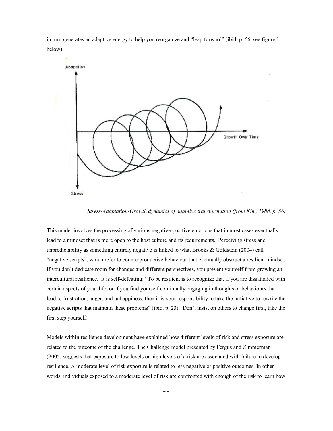in turn generates an adaptive energy to help you reorganize and "leap forward" (ibid. p. 56, see figure 1 below).



*Stress-Adaptation-Growth dynamics of adaptive transformation (from Kim, 1988. p. 56)* 

This model involves the processing of various negative-positive emotions that in most cases eventually lead to a mindset that is more open to the host culture and its requirements. Perceiving stress and unpredictability as something entirely negative is linked to what Brooks & Goldstein (2004) call "negative scripts", which refer to counterproductive behaviour that eventually obstruct a resilient mindset. If you don't dedicate room for changes and different perspectives, you prevent yourself from growing an intercultural resilience. It is self-defeating: "To be resilient is to recognize that if you are dissatisfied with certain aspects of your life, or if you find yourself continually engaging in thoughts or behaviours that lead to frustration, anger, and unhappiness, then it is your responsibility to take the initiative to rewrite the negative scripts that maintain these problems" (ibid. p. 23). Don't insist on others to change first, take the first step yourself!

Models within resilience development have explained how different levels of risk and stress exposure are related to the outcome of the challenge. The Challenge model presented by Fergus and Zimmerman (2005) suggests that exposure to low levels or high levels of a risk are associated with failure to develop resilience. A moderate level of risk exposure is related to less negative or positive outcomes. In other words, individuals exposed to a moderate level of risk are confronted with enough of the risk to learn how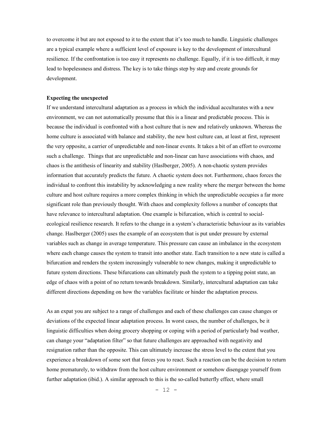to overcome it but are not exposed to it to the extent that it's too much to handle. Linguistic challenges are a typical example where a sufficient level of exposure is key to the development of intercultural resilience. If the confrontation is too easy it represents no challenge. Equally, if it is too difficult, it may lead to hopelessness and distress. The key is to take things step by step and create grounds for development.

#### **Expecting the unexpected**

If we understand intercultural adaptation as a process in which the individual acculturates with a new environment, we can not automatically presume that this is a linear and predictable process. This is because the individual is confronted with a host culture that is new and relatively unknown. Whereas the home culture is associated with balance and stability, the new host culture can, at least at first, represent the very opposite, a carrier of unpredictable and non-linear events. It takes a bit of an effort to overcome such a challenge. Things that are unpredictable and non-linear can have associations with chaos, and chaos is the antithesis of linearity and stability (Haslberger, 2005). A non-chaotic system provides information that accurately predicts the future. A chaotic system does not. Furthermore, chaos forces the individual to confront this instability by acknowledging a new reality where the merger between the home culture and host culture requires a more complex thinking in which the unpredictable occupies a far more significant role than previously thought. With chaos and complexity follows a number of concepts that have relevance to intercultural adaptation. One example is bifurcation, which is central to socialecological resilience research. It refers to the change in a system's characteristic behaviour as its variables change. Haslberger (2005) uses the example of an ecosystem that is put under pressure by external variables such as change in average temperature. This pressure can cause an imbalance in the ecosystem where each change causes the system to transit into another state. Each transition to a new state is called a bifurcation and renders the system increasingly vulnerable to new changes, making it unpredictable to future system directions. These bifurcations can ultimately push the system to a tipping point state, an edge of chaos with a point of no return towards breakdown. Similarly, intercultural adaptation can take different directions depending on how the variables facilitate or hinder the adaptation process.

As an expat you are subject to a range of challenges and each of these challenges can cause changes or deviations of the expected linear adaptation process. In worst cases, the number of challenges, be it linguistic difficulties when doing grocery shopping or coping with a period of particularly bad weather, can change your "adaptation filter" so that future challenges are approached with negativity and resignation rather than the opposite. This can ultimately increase the stress level to the extent that you experience a breakdown of some sort that forces you to react. Such a reaction can be the decision to return home prematurely, to withdraw from the host culture environment or somehow disengage yourself from further adaptation (ibid.). A similar approach to this is the so-called butterfly effect, where small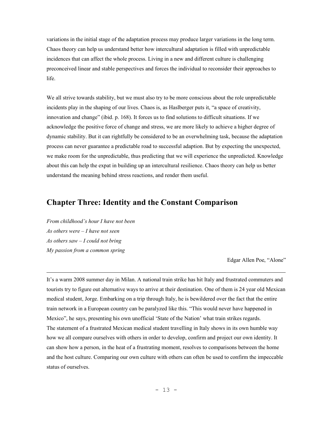variations in the initial stage of the adaptation process may produce larger variations in the long term. Chaos theory can help us understand better how intercultural adaptation is filled with unpredictable incidences that can affect the whole process. Living in a new and different culture is challenging preconceived linear and stable perspectives and forces the individual to reconsider their approaches to life.

We all strive towards stability, but we must also try to be more conscious about the role unpredictable incidents play in the shaping of our lives. Chaos is, as Haslberger puts it, "a space of creativity, innovation and change" (ibid. p. 168). It forces us to find solutions to difficult situations. If we acknowledge the positive force of change and stress, we are more likely to achieve a higher degree of dynamic stability. But it can rightfully be considered to be an overwhelming task, because the adaptation process can never guarantee a predictable road to successful adaption. But by expecting the unexpected, we make room for the unpredictable, thus predicting that we will experience the unpredicted. Knowledge about this can help the expat in building up an intercultural resilience. Chaos theory can help us better understand the meaning behind stress reactions, and render them useful.

# **Chapter Three: Identity and the Constant Comparison**

*From childhood's hour I have not been As others were – I have not seen As others saw – I could not bring My passion from a common spring* 

 $\overline{a}$ 

Edgar Allen Poe, "Alone"

It's a warm 2008 summer day in Milan. A national train strike has hit Italy and frustrated commuters and tourists try to figure out alternative ways to arrive at their destination. One of them is 24 year old Mexican medical student, Jorge. Embarking on a trip through Italy, he is bewildered over the fact that the entire train network in a European country can be paralyzed like this. "This would never have happened in Mexico", he says, presenting his own unofficial 'State of the Nation' what train strikes regards. The statement of a frustrated Mexican medical student travelling in Italy shows in its own humble way how we all compare ourselves with others in order to develop, confirm and project our own identity. It can show how a person, in the heat of a frustrating moment, resolves to comparisons between the home and the host culture. Comparing our own culture with others can often be used to confirm the impeccable status of ourselves.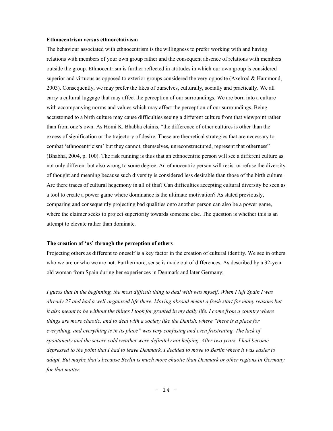#### **Ethnocentrism versus ethnorelativism**

The behaviour associated with ethnocentrism is the willingness to prefer working with and having relations with members of your own group rather and the consequent absence of relations with members outside the group. Ethnocentrism is further reflected in attitudes in which our own group is considered superior and virtuous as opposed to exterior groups considered the very opposite (Axelrod  $\&$  Hammond, 2003). Consequently, we may prefer the likes of ourselves, culturally, socially and practically. We all carry a cultural luggage that may affect the perception of our surroundings. We are born into a culture with accompanying norms and values which may affect the perception of our surroundings. Being accustomed to a birth culture may cause difficulties seeing a different culture from that viewpoint rather than from one's own. As Homi K. Bhabha claims, "the difference of other cultures is other than the excess of signification or the trajectory of desire. These are theoretical strategies that are necessary to combat 'ethnocentricism' but they cannot, themselves, unreconstructured, represent that otherness" (Bhabha, 2004, p. 100). The risk running is thus that an ethnocentric person will see a different culture as not only different but also wrong to some degree. An ethnocentric person will resist or refuse the diversity of thought and meaning because such diversity is considered less desirable than those of the birth culture. Are there traces of cultural hegemony in all of this? Can difficulties accepting cultural diversity be seen as a tool to create a power game where dominance is the ultimate motivation? As stated previously, comparing and consequently projecting bad qualities onto another person can also be a power game, where the claimer seeks to project superiority towards someone else. The question is whether this is an attempt to elevate rather than dominate.

#### **The creation of 'us' through the perception of others**

Projecting others as different to oneself is a key factor in the creation of cultural identity. We see in others who we are or who we are not. Furthermore, sense is made out of differences. As described by a 32-year old woman from Spain during her experiences in Denmark and later Germany:

*I guess that in the beginning, the most difficult thing to deal with was myself. When I left Spain I was already 27 and had a well-organized life there. Moving abroad meant a fresh start for many reasons but it also meant to be without the things I took for granted in my daily life. I come from a country where things are more chaotic, and to deal with a society like the Danish, where "there is a place for everything, and everything is in its place" was very confusing and even frustrating. The lack of spontaneity and the severe cold weather were definitely not helping. After two years, I had become depressed to the point that I had to leave Denmark. I decided to move to Berlin where it was easier to adapt. But maybe that's because Berlin is much more chaotic than Denmark or other regions in Germany for that matter.*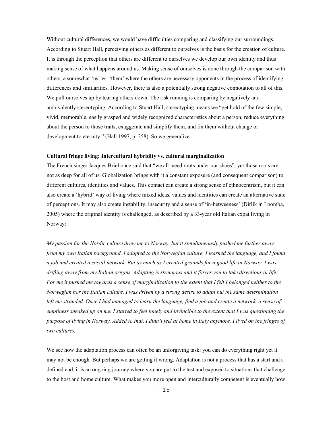Without cultural differences, we would have difficulties comparing and classifying our surroundings. According to Stuart Hall, perceiving others as different to ourselves is the basis for the creation of culture. It is through the perception that others are different to ourselves we develop our own identity and thus making sense of what happens around us. Making sense of ourselves is done through the comparison with others, a somewhat 'us' vs. 'them' where the others are necessary opponents in the process of identifying differences and similarities. However, there is also a potentially strong negative connotation to all of this. We pull ourselves up by tearing others down. The risk running is comparing by negatively and ambivalently stereotyping. According to Stuart Hall, stereotyping means we "get hold of the few simple, vivid, memorable, easily grasped and widely recognized characteristics about a person, reduce everything about the person to those traits, exaggerate and simplify them, and fix them without change or development to eternity." (Hall 1997, p. 258). So we generalize.

# **Cultural fringe living: Intercultural hybridity vs. cultural marginalization**

The French singer Jacques Briel once said that "we all need roots under our shoes", yet those roots are not as deep for all of us. Globalization brings with it a constant exposure (and consequent comparison) to different cultures, identities and values. This contact can create a strong sense of ethnocentrism, but it can also create a 'hybrid' way of living where mixed ideas, values and identities can create an alternative state of perceptions. It may also create instability, insecurity and a sense of 'in-betweeness' (Dirlik in Loomba, 2005) where the original identity is challenged, as described by a 33-year old Italian expat living in Norway:

*My passion for the Nordic culture drew me to Norway, but it simultaneously pushed me further away from my own Italian background. I adapted to the Norwegian culture, I learned the language, and I found a job and created a social network. But as much as I created grounds for a good life in Norway, I was drifting away from my Italian origins. Adapting is strenuous and it forces you to take directions in life. For me it pushed me towards a sense of marginalization to the extent that I felt I belonged neither to the Norwegian nor the Italian culture. I was driven by a strong desire to adapt but the same determination left me stranded. Once I had managed to learn the language, find a job and create a network, a sense of emptiness sneaked up on me. I started to feel lonely and invincible to the extent that I was questioning the purpose of living in Norway. Added to that, I didn't feel at home in Italy anymore. I lived on the fringes of two cultures.* 

We see how the adaptation process can often be an unforgiving task: you can do everything right yet it may not be enough. But perhaps we are getting it wrong. Adaptation is not a process that has a start and a defined end, it is an ongoing journey where you are put to the test and exposed to situations that challenge to the host and home culture. What makes you more open and interculturally competent is eventually how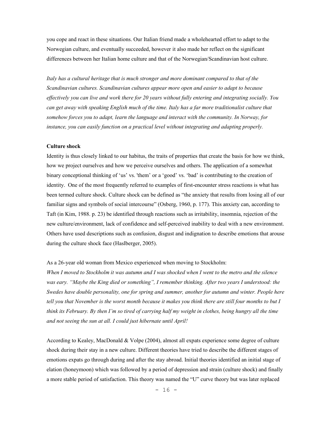you cope and react in these situations. Our Italian friend made a wholehearted effort to adapt to the Norwegian culture, and eventually succeeded, however it also made her reflect on the significant differences between her Italian home culture and that of the Norwegian/Scandinavian host culture.

*Italy has a cultural heritage that is much stronger and more dominant compared to that of the Scandinavian cultures. Scandinavian cultures appear more open and easier to adapt to because effectively you can live and work there for 20 years without fully entering and integrating socially. You can get away with speaking English much of the time. Italy has a far more traditionalist culture that somehow forces you to adapt, learn the language and interact with the community. In Norway, for instance, you can easily function on a practical level without integrating and adapting properly.* 

## **Culture shock**

Identity is thus closely linked to our habitus, the traits of properties that create the basis for how we think, how we project ourselves and how we perceive ourselves and others. The application of a somewhat binary conceptional thinking of 'us' vs. 'them' or a 'good' vs. 'bad' is contributing to the creation of identity. One of the most frequently referred to examples of first-encounter stress reactions is what has been termed culture shock. Culture shock can be defined as "the anxiety that results from losing all of our familiar signs and symbols of social intercourse" (Osberg, 1960, p. 177). This anxiety can, according to Taft (in Kim, 1988. p. 23) be identified through reactions such as irritability, insomnia, rejection of the new culture/environment, lack of confidence and self-perceived inability to deal with a new environment. Others have used descriptions such as confusion, disgust and indignation to describe emotions that arouse during the culture shock face (Haslberger, 2005).

#### As a 26-year old woman from Mexico experienced when moving to Stockholm:

*When I moved to Stockholm it was autumn and I was shocked when I went to the metro and the silence was eary. "Maybe the King died or something", I remember thinking. After two years I understood: the Swedes have double personality, one for spring and summer, another for autumn and winter. People here tell you that November is the worst month because it makes you think there are still four months to but I think its February. By then I'm so tired of carrying half my weight in clothes, being hungry all the time and not seeing the sun at all. I could just hibernate until April!* 

According to Kealey, MacDonald & Volpe (2004), almost all expats experience some degree of culture shock during their stay in a new culture. Different theories have tried to describe the different stages of emotions expats go through during and after the stay abroad. Initial theories identified an initial stage of elation (honeymoon) which was followed by a period of depression and strain (culture shock) and finally a more stable period of satisfaction. This theory was named the "U" curve theory but was later replaced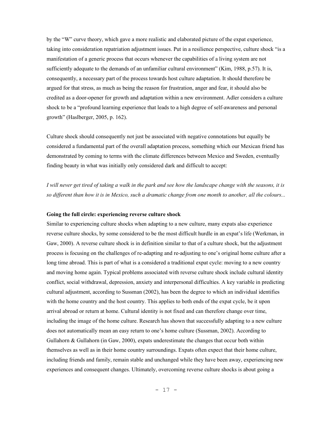by the "W" curve theory, which gave a more realistic and elaborated picture of the expat experience, taking into consideration repatriation adjustment issues. Put in a resilience perspective, culture shock "is a manifestation of a generic process that occurs whenever the capabilities of a living system are not sufficiently adequate to the demands of an unfamiliar cultural environment" (Kim, 1988, p.57). It is, consequently, a necessary part of the process towards host culture adaptation. It should therefore be argued for that stress, as much as being the reason for frustration, anger and fear, it should also be credited as a door-opener for growth and adaptation within a new environment. Adler considers a culture shock to be a "profound learning experience that leads to a high degree of self-awareness and personal growth" (Haslberger, 2005, p. 162).

Culture shock should consequently not just be associated with negative connotations but equally be considered a fundamental part of the overall adaptation process, something which our Mexican friend has demonstrated by coming to terms with the climate differences between Mexico and Sweden, eventually finding beauty in what was initially only considered dark and difficult to accept:

*I will never get tired of taking a walk in the park and see how the landscape change with the seasons, it is so different than how it is in Mexico, such a dramatic change from one month to another, all the colours...* 

# **Going the full circle: experiencing reverse culture shock**

Similar to experiencing culture shocks when adapting to a new culture, many expats also experience reverse culture shocks, by some considered to be the most difficult hurdle in an expat's life (Werkman, in Gaw, 2000). A reverse culture shock is in definition similar to that of a culture shock, but the adjustment process is focusing on the challenges of re-adapting and re-adjusting to one's original home culture after a long time abroad. This is part of what is a considered a traditional expat cycle: moving to a new country and moving home again. Typical problems associated with reverse culture shock include cultural identity conflict, social withdrawal, depression, anxiety and interpersonal difficulties. A key variable in predicting cultural adjustment, according to Sussman (2002), has been the degree to which an individual identifies with the home country and the host country. This applies to both ends of the expat cycle, be it upon arrival abroad or return at home. Cultural identity is not fixed and can therefore change over time, including the image of the home culture. Research has shown that successfully adapting to a new culture does not automatically mean an easy return to one's home culture (Sussman, 2002). According to Gullahorn  $\&$  Gullahorn (in Gaw, 2000), expats underestimate the changes that occur both within themselves as well as in their home country surroundings. Expats often expect that their home culture, including friends and family, remain stable and unchanged while they have been away, experiencing new experiences and consequent changes. Ultimately, overcoming reverse culture shocks is about going a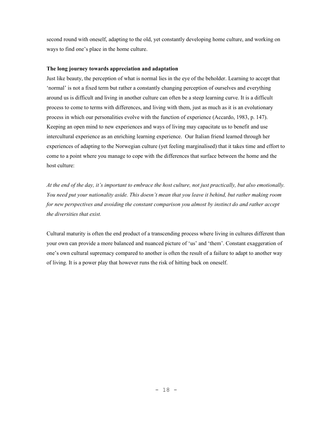second round with oneself, adapting to the old, yet constantly developing home culture, and working on ways to find one's place in the home culture.

# **The long journey towards appreciation and adaptation**

Just like beauty, the perception of what is normal lies in the eye of the beholder. Learning to accept that 'normal' is not a fixed term but rather a constantly changing perception of ourselves and everything around us is difficult and living in another culture can often be a steep learning curve. It is a difficult process to come to terms with differences, and living with them, just as much as it is an evolutionary process in which our personalities evolve with the function of experience (Accardo, 1983, p. 147). Keeping an open mind to new experiences and ways of living may capacitate us to benefit and use intercultural experience as an enriching learning experience. Our Italian friend learned through her experiences of adapting to the Norwegian culture (yet feeling marginalised) that it takes time and effort to come to a point where you manage to cope with the differences that surface between the home and the host culture:

*At the end of the day, it's important to embrace the host culture, not just practically, but also emotionally. You need put your nationality aside. This doesn't mean that you leave it behind, but rather making room for new perspectives and avoiding the constant comparison you almost by instinct do and rather accept the diversities that exist.* 

Cultural maturity is often the end product of a transcending process where living in cultures different than your own can provide a more balanced and nuanced picture of 'us' and 'them'. Constant exaggeration of one's own cultural supremacy compared to another is often the result of a failure to adapt to another way of living. It is a power play that however runs the risk of hitting back on oneself.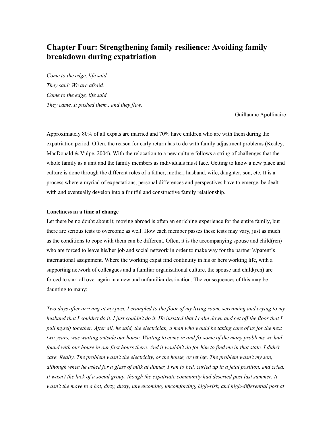# **Chapter Four: Strengthening family resilience: Avoiding family breakdown during expatriation**

*Come to the edge, life said. They said: We are afraid. Come to the edge, life said. They came. It pushed them...and they flew.* 

Guillaume Apollinaire

Approximately 80% of all expats are married and 70% have children who are with them during the expatriation period. Often, the reason for early return has to do with family adjustment problems (Kealey, MacDonald & Vulpe, 2004). With the relocation to a new culture follows a string of challenges that the whole family as a unit and the family members as individuals must face. Getting to know a new place and culture is done through the different roles of a father, mother, husband, wife, daughter, son, etc. It is a process where a myriad of expectations, personal differences and perspectives have to emerge, be dealt with and eventually develop into a fruitful and constructive family relationship.

#### **Loneliness in a time of change**

 $\overline{a}$ 

Let there be no doubt about it; moving abroad is often an enriching experience for the entire family, but there are serious tests to overcome as well. How each member passes these tests may vary, just as much as the conditions to cope with them can be different. Often, it is the accompanying spouse and child(ren) who are forced to leave his/her job and social network in order to make way for the partner's/parent's international assignment. Where the working expat find continuity in his or hers working life, with a supporting network of colleagues and a familiar organisational culture, the spouse and child(ren) are forced to start all over again in a new and unfamiliar destination. The consequences of this may be daunting to many:

*Two days after arriving at my post, I crumpled to the floor of my living room, screaming and crying to my husband that I couldn't do it. I just couldn't do it. He insisted that I calm down and get off the floor that I pull myself together. After all, he said, the electrician, a man who would be taking care of us for the next two years, was waiting outside our house. Waiting to come in and fix some of the many problems we had found with our house in our first hours there. And it wouldn't do for him to find me in that state. I didn't care. Really. The problem wasn't the electricity, or the house, or jet leg. The problem wasn't my son, although when he asked for a glass of milk at dinner, I ran to bed, curled up in a fetal position, and cried. It wasn't the lack of a social group, though the expatriate community had deserted post last summer. It*  wasn't the move to a hot, dirty, dusty, unwelcoming, uncomforting, high-risk, and high-differential post at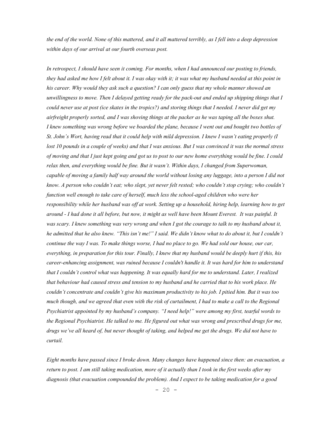*the end of the world. None of this mattered, and it all mattered terribly, as I fell into a deep depression within days of our arrival at our fourth overseas post.* 

*In retrospect, I should have seen it coming. For months, when I had announced our posting to friends, they had asked me how I felt about it. I was okay with it; it was what my husband needed at this point in his career. Why would they ask such a question? I can only guess that my whole manner showed an unwillingness to move. Then I delayed getting ready for the pack-out and ended up shipping things that I could never use at post (ice skates in the tropics?) and storing things that I needed. I never did get my airfreight properly sorted, and I was shoving things at the packer as he was taping all the boxes shut. I knew something was wrong before we boarded the plane, because I went out and bought two bottles of St. John's Wort, having read that it could help with mild depression. I knew I wasn't eating properly (I lost 10 pounds in a couple of weeks) and that I was anxious. But I was convinced it was the normal stress of moving and that I just kept going and got us to post to our new home everything would be fine. I could relax then, and everything would be fine. But it wasn't. Within days, I changed from Superwoman, capable of moving a family half way around the world without losing any luggage, into a person I did not know. A person who couldn't eat; who slept, yet never felt rested; who couldn't stop crying; who couldn't function well enough to take care of herself, much less the school-aged children who were her responsibility while her husband was off at work. Setting up a household, hiring help, learning how to get around - I had done it all before, but now, it might as well have been Mount Everest. It was painful. It was scary. I knew something was very wrong and when I got the courage to talk to my husband about it, he admitted that he also knew. "This isn't me!" I said. We didn't know what to do about it, but I couldn't continue the way I was. To make things worse, I had no place to go. We had sold our house, our car, everything, in preparation for this tour. Finally, I knew that my husband would be deeply hurt if this, his career-enhancing assignment, was ruined because I couldn't handle it. It was hard for him to understand that I couldn't control what was happening. It was equally hard for me to understand. Later, I realized that behaviour had caused stress and tension to my husband and he carried that to his work place. He couldn't concentrate and couldn't give his maximum productivity to his job. I pitied him. But it was too much though, and we agreed that even with the risk of curtailment, I had to make a call to the Regional Psychiatrist appointed by my husband's company. "I need help!" were among my first, tearful words to the Regional Psychiatrist. He talked to me. He figured out what was wrong and prescribed drugs for me, drugs we've all heard of, but never thought of taking, and helped me get the drugs. We did not have to curtail.* 

*Eight months have passed since I broke down. Many changes have happened since then: an evacuation, a return to post. I am still taking medication, more of it actually than I took in the first weeks after my diagnosis (that evacuation compounded the problem). And I expect to be taking medication for a good*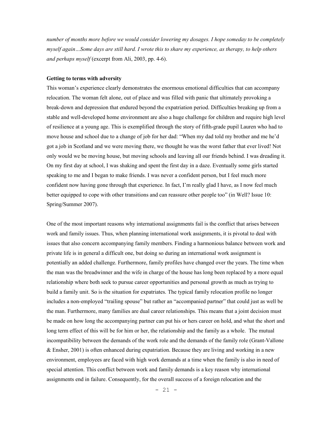*number of months more before we would consider lowering my dosages. I hope someday to be completely myself again…Some days are still hard. I wrote this to share my experience, as therapy, to help others and perhaps myself* (excerpt from Ali, 2003, pp. 4-6).

#### **Getting to terms with adversity**

This woman's experience clearly demonstrates the enormous emotional difficulties that can accompany relocation. The woman felt alone, out of place and was filled with panic that ultimately provoking a break-down and depression that endured beyond the expatriation period. Difficulties breaking up from a stable and well-developed home environment are also a huge challenge for children and require high level of resilience at a young age. This is exemplified through the story of fifth-grade pupil Lauren who had to move house and school due to a change of job for her dad: "When my dad told my brother and me he'd got a job in Scotland and we were moving there, we thought he was the worst father that ever lived! Not only would we be moving house, but moving schools and leaving all our friends behind. I was dreading it. On my first day at school, I was shaking and spent the first day in a daze. Eventually some girls started speaking to me and I began to make friends. I was never a confident person, but I feel much more confident now having gone through that experience. In fact, I'm really glad I have, as I now feel much better equipped to cope with other transitions and can reassure other people too" (in Well? Issue 10: Spring/Summer 2007).

One of the most important reasons why international assignments fail is the conflict that arises between work and family issues. Thus, when planning international work assignments, it is pivotal to deal with issues that also concern accompanying family members. Finding a harmonious balance between work and private life is in general a difficult one, but doing so during an international work assignment is potentially an added challenge. Furthermore, family profiles have changed over the years. The time when the man was the breadwinner and the wife in charge of the house has long been replaced by a more equal relationship where both seek to pursue career opportunities and personal growth as much as trying to build a family unit. So is the situation for expatriates. The typical family relocation profile no longer includes a non-employed "trailing spouse" but rather an "accompanied partner" that could just as well be the man. Furthermore, many families are dual career relationships. This means that a joint decision must be made on how long the accompanying partner can put his or hers career on hold, and what the short and long term effect of this will be for him or her, the relationship and the family as a whole. The mutual incompatibility between the demands of the work role and the demands of the family role (Grant-Vallone & Ensher, 2001) is often enhanced during expatriation. Because they are living and working in a new environment, employees are faced with high work demands at a time when the family is also in need of special attention. This conflict between work and family demands is a key reason why international assignments end in failure. Consequently, for the overall success of a foreign relocation and the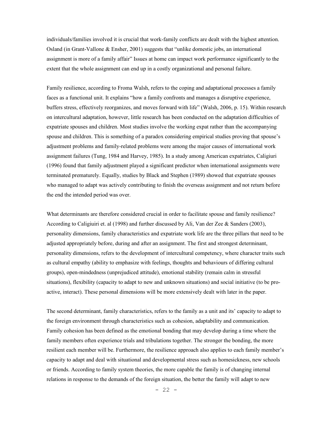individuals/families involved it is crucial that work-family conflicts are dealt with the highest attention. Osland (in Grant-Vallone & Ensher, 2001) suggests that "unlike domestic jobs, an international assignment is more of a family affair" Issues at home can impact work performance significantly to the extent that the whole assignment can end up in a costly organizational and personal failure.

Family resilience, according to Froma Walsh, refers to the coping and adaptational processes a family faces as a functional unit. It explains "how a family confronts and manages a disruptive experience, buffers stress, effectively reorganizes, and moves forward with life" (Walsh, 2006, p. 15). Within research on intercultural adaptation, however, little research has been conducted on the adaptation difficulties of expatriate spouses and children. Most studies involve the working expat rather than the accompanying spouse and children. This is something of a paradox considering empirical studies proving that spouse's adjustment problems and family-related problems were among the major causes of international work assignment failures (Tung, 1984 and Harvey, 1985). In a study among American expatriates, Caligiuri (1996) found that family adjustment played a significant predictor when international assignments were terminated prematurely. Equally, studies by Black and Stephen (1989) showed that expatriate spouses who managed to adapt was actively contributing to finish the overseas assignment and not return before the end the intended period was over.

What determinants are therefore considered crucial in order to facilitate spouse and family resilience? According to Caligiuiri et. al (1998) and further discussed by Ali, Van der Zee & Sanders (2003), personality dimensions, family characteristics and expatriate work life are the three pillars that need to be adjusted appropriately before, during and after an assignment. The first and strongest determinant, personality dimensions, refers to the development of intercultural competency, where character traits such as cultural empathy (ability to emphasize with feelings, thoughts and behaviours of differing cultural groups), open-mindedness (unprejudiced attitude), emotional stability (remain calm in stressful situations), flexibility (capacity to adapt to new and unknown situations) and social initiative (to be proactive, interact). These personal dimensions will be more extensively dealt with later in the paper.

The second determinant, family characteristics, refers to the family as a unit and its' capacity to adapt to the foreign environment through characteristics such as cohesion, adaptability and communication. Family cohesion has been defined as the emotional bonding that may develop during a time where the family members often experience trials and tribulations together. The stronger the bonding, the more resilient each member will be. Furthermore, the resilience approach also applies to each family member's capacity to adapt and deal with situational and developmental stress such as homesickness, new schools or friends. According to family system theories, the more capable the family is of changing internal relations in response to the demands of the foreign situation, the better the family will adapt to new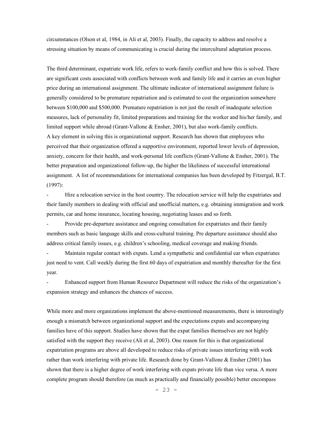circumstances (Olson et al, 1984, in Ali et al, 2003). Finally, the capacity to address and resolve a stressing situation by means of communicating is crucial during the intercultural adaptation process.

The third determinant, expatriate work life, refers to work-family conflict and how this is solved. There are significant costs associated with conflicts between work and family life and it carries an even higher price during an international assignment. The ultimate indicator of international assignment failure is generally considered to be premature repatriation and is estimated to cost the organization somewhere between \$100,000 and \$500,000. Premature repatriation is not just the result of inadequate selection measures, lack of personality fit, limited preparations and training for the worker and his/her family, and limited support while abroad (Grant-Vallone & Ensher, 2001), but also work-family conflicts. A key element in solving this is organizational support. Research has shown that employees who perceived that their organization offered a supportive environment, reported lower levels of depression, anxiety, concern for their health, and work-personal life conflicts (Grant-Vallone & Ensher, 2001). The better preparation and organizational follow-up, the higher the likeliness of successful international assignment. A list of recommendations for international companies has been developed by Fitzergal, B.T. (1997):

Hire a relocation service in the host country. The relocation service will help the expatriates and their family members in dealing with official and unofficial matters, e.g. obtaining immigration and work permits, car and home insurance, locating housing, negotiating leases and so forth.

Provide pre-departure assistance and ongoing consultation for expatriates and their family members such as basic language skills and cross-cultural training. Pre departure assistance should also address critical family issues, e.g. children's schooling, medical coverage and making friends.

- Maintain regular contact with expats. Lend a sympathetic and confidential ear when expatriates just need to vent. Call weekly during the first 60 days of expatriation and monthly thereafter for the first year.

- Enhanced support from Human Resource Department will reduce the risks of the organization's expansion strategy and enhances the chances of success.

While more and more organizations implement the above-mentioned measurements, there is interestingly enough a mismatch between organizational support and the expectations expats and accompanying families have of this support. Studies have shown that the expat families themselves are not highly satisfied with the support they receive (Ali et al, 2003). One reason for this is that organizational expatriation programs are above all developed to reduce risks of private issues interfering with work rather than work interfering with private life. Research done by Grant-Vallone & Ensher (2001) has shown that there is a higher degree of work interfering with expats private life than vice versa. A more complete program should therefore (as much as practically and financially possible) better encompass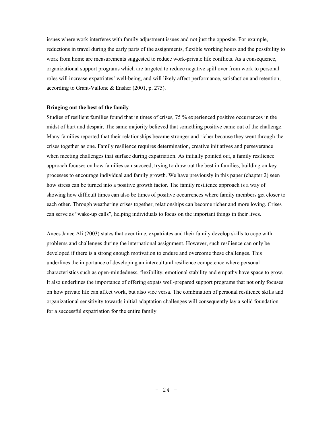issues where work interferes with family adjustment issues and not just the opposite. For example, reductions in travel during the early parts of the assignments, flexible working hours and the possibility to work from home are measurements suggested to reduce work-private life conflicts. As a consequence, organizational support programs which are targeted to reduce negative spill over from work to personal roles will increase expatriates' well-being, and will likely affect performance, satisfaction and retention, according to Grant-Vallone & Ensher (2001, p. 275).

## **Bringing out the best of the family**

Studies of resilient families found that in times of crises, 75 % experienced positive occurrences in the midst of hurt and despair. The same majority believed that something positive came out of the challenge. Many families reported that their relationships became stronger and richer because they went through the crises together as one. Family resilience requires determination, creative initiatives and perseverance when meeting challenges that surface during expatriation. As initially pointed out, a family resilience approach focuses on how families can succeed, trying to draw out the best in families, building on key processes to encourage individual and family growth. We have previously in this paper (chapter 2) seen how stress can be turned into a positive growth factor. The family resilience approach is a way of showing how difficult times can also be times of positive occurrences where family members get closer to each other. Through weathering crises together, relationships can become richer and more loving. Crises can serve as "wake-up calls", helping individuals to focus on the important things in their lives.

Anees Janee Ali (2003) states that over time, expatriates and their family develop skills to cope with problems and challenges during the international assignment. However, such resilience can only be developed if there is a strong enough motivation to endure and overcome these challenges. This underlines the importance of developing an intercultural resilience competence where personal characteristics such as open-mindedness, flexibility, emotional stability and empathy have space to grow. It also underlines the importance of offering expats well-prepared support programs that not only focuses on how private life can affect work, but also vice versa. The combination of personal resilience skills and organizational sensitivity towards initial adaptation challenges will consequently lay a solid foundation for a successful expatriation for the entire family.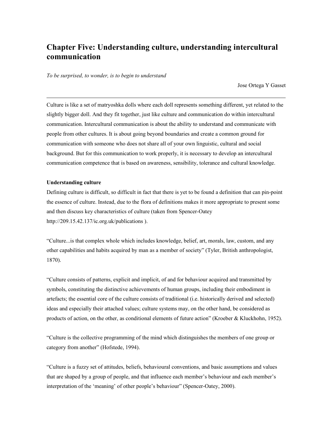# **Chapter Five: Understanding culture, understanding intercultural communication**

*To be surprised, to wonder, is to begin to understand* 

Jose Ortega Y Gasset

Culture is like a set of matryoshka dolls where each doll represents something different, yet related to the slightly bigger doll. And they fit together, just like culture and communication do within intercultural communication. Intercultural communication is about the ability to understand and communicate with people from other cultures. It is about going beyond boundaries and create a common ground for communication with someone who does not share all of your own linguistic, cultural and social background. But for this communication to work properly, it is necessary to develop an intercultural communication competence that is based on awareness, sensibility, tolerance and cultural knowledge.

## **Understanding culture**

 $\overline{a}$ 

Defining culture is difficult, so difficult in fact that there is yet to be found a definition that can pin-point the essence of culture. Instead, due to the flora of definitions makes it more appropriate to present some and then discuss key characteristics of culture (taken from Spencer-Oatey http://209.15.42.137/ic.org.uk/publications ).

"Culture...is that complex whole which includes knowledge, belief, art, morals, law, custom, and any other capabilities and habits acquired by man as a member of society" (Tyler, British anthropologist, 1870).

"Culture consists of patterns, explicit and implicit, of and for behaviour acquired and transmitted by symbols, constituting the distinctive achievements of human groups, including their embodiment in artefacts; the essential core of the culture consists of traditional (i.e. historically derived and selected) ideas and especially their attached values; culture systems may, on the other hand, be considered as products of action, on the other, as conditional elements of future action" (Kroeber & Kluckhohn, 1952).

"Culture is the collective programming of the mind which distinguishes the members of one group or category from another" (Hofstede, 1994).

"Culture is a fuzzy set of attitudes, beliefs, behavioural conventions, and basic assumptions and values that are shaped by a group of people, and that influence each member's behaviour and each member's interpretation of the 'meaning' of other people's behaviour" (Spencer-Oatey, 2000).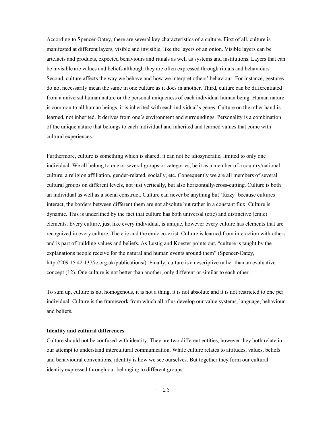According to Spencer-Oatey, there are several key characteristics of a culture. First of all, culture is manifested at different layers, visible and invisible, like the layers of an onion. Visible layers can be artefacts and products, expected behaviours and rituals as well as systems and institutions. Layers that can be invisible are values and beliefs although they are often expressed through rituals and behaviours. Second, culture affects the way we behave and how we interpret others' behaviour. For instance, gestures do not necessarily mean the same in one culture as it does in another. Third, culture can be differentiated from a universal human nature or the personal uniqueness of each individual human being. Human nature is common to all human beings, it is inherited with each individual's genes. Culture on the other hand is learned, not inherited. It derives from one's environment and surroundings. Personality is a combination of the unique nature that belongs to each individual and inherited and learned values that come with cultural experiences.

Furthermore, culture is something which is shared, it can not be idiosyncratic, limited to only one individual. We all belong to one or several groups or categories, be it as a member of a country/national culture, a religion affiliation, gender-related, socially, etc. Consequently we are all members of several cultural groups on different levels, not just vertically, but also horizontally/cross-cutting. Culture is both an individual as well as a social construct. Culture can never be anything but 'fuzzy' because cultures interact, the borders between different them are not absolute but rather in a constant flux. Culture is dynamic. This is underlined by the fact that culture has both universal (etic) and distinctive (emic) elements. Every culture, just like every individual, is unique, however every culture has elements that are recognized in every culture. The etic and the emic co-exist. Culture is learned from interaction with others and is part of building values and beliefs. As Lustig and Koester points out, "culture is taught by the explanations people receive for the natural and human events around them" (Spencer-Oatey, http://209.15.42.137/ic.org.uk/publications/). Finally, culture is a descriptive rather than an evaluative concept (12). One culture is not better than another, only different or similar to each other.

To sum up, culture is not homogenous, it is not a thing, it is not absolute and it is not restricted to one per individual. Culture is the framework from which all of us develop our value systems, language, behaviour and beliefs.

# **Identity and cultural differences**

Culture should not be confused with identity. They are two different entities, however they both relate in our attempt to understand intercultural communication. While culture relates to attitudes, values, beliefs and behavioural conventions, identity is how we see ourselves. But together they form our cultural identity expressed through our belonging to different groups.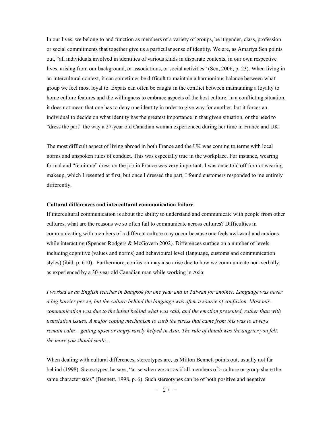In our lives, we belong to and function as members of a variety of groups, be it gender, class, profession or social commitments that together give us a particular sense of identity. We are, as Amartya Sen points out, "all individuals involved in identities of various kinds in disparate contexts, in our own respective lives, arising from our background, or associations, or social activities" (Sen, 2006, p. 23). When living in an intercultural context, it can sometimes be difficult to maintain a harmonious balance between what group we feel most loyal to. Expats can often be caught in the conflict between maintaining a loyalty to home culture features and the willingness to embrace aspects of the host culture. In a conflicting situation, it does not mean that one has to deny one identity in order to give way for another, but it forces an individual to decide on what identity has the greatest importance in that given situation, or the need to "dress the part" the way a 27-year old Canadian woman experienced during her time in France and UK:

The most difficult aspect of living abroad in both France and the UK was coming to terms with local norms and unspoken rules of conduct. This was especially true in the workplace. For instance, wearing formal and "feminine" dress on the job in France was very important. I was once told off for not wearing makeup, which I resented at first, but once I dressed the part, I found customers responded to me entirely differently.

#### **Cultural differences and intercultural communication failure**

If intercultural communication is about the ability to understand and communicate with people from other cultures, what are the reasons we so often fail to communicate across cultures? Difficulties in communicating with members of a different culture may occur because one feels awkward and anxious while interacting (Spencer-Rodgers & McGovern 2002). Differences surface on a number of levels including cognitive (values and norms) and behavioural level (language, customs and communication styles) (ibid. p. 610). Furthermore, confusion may also arise due to how we communicate non-verbally, as experienced by a 30-year old Canadian man while working in Asia:

*I worked as an English teacher in Bangkok for one year and in Taiwan for another. Language was never a big barrier per-se, but the culture behind the language was often a source of confusion. Most miscommunication was due to the intent behind what was said, and the emotion presented, rather than with translation issues. A major coping mechanism to curb the stress that came from this was to always remain calm – getting upset or angry rarely helped in Asia. The rule of thumb was the angrier you felt, the more you should smile...* 

When dealing with cultural differences, stereotypes are, as Milton Bennett points out, usually not far behind (1998). Stereotypes, he says, "arise when we act as if all members of a culture or group share the same characteristics" (Bennett, 1998, p. 6). Such stereotypes can be of both positive and negative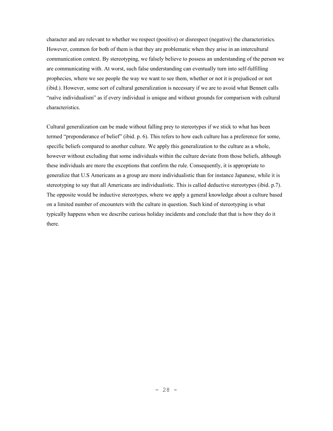character and are relevant to whether we respect (positive) or disrespect (negative) the characteristics. However, common for both of them is that they are problematic when they arise in an intercultural communication context. By stereotyping, we falsely believe to possess an understanding of the person we are communicating with. At worst, such false understanding can eventually turn into self-fulfilling prophecies, where we see people the way we want to see them, whether or not it is prejudiced or not (ibid.). However, some sort of cultural generalization is necessary if we are to avoid what Bennett calls "naïve individualism" as if every individual is unique and without grounds for comparison with cultural characteristics.

Cultural generalization can be made without falling prey to stereotypes if we stick to what has been termed "preponderance of belief" (ibid. p. 6). This refers to how each culture has a preference for some, specific beliefs compared to another culture. We apply this generalization to the culture as a whole, however without excluding that some individuals within the culture deviate from those beliefs, although these individuals are more the exceptions that confirm the rule. Consequently, it is appropriate to generalize that U.S Americans as a group are more individualistic than for instance Japanese, while it is stereotyping to say that all Americans are individualistic. This is called deductive stereotypes (ibid. p.7). The opposite would be inductive stereotypes, where we apply a general knowledge about a culture based on a limited number of encounters with the culture in question. Such kind of stereotyping is what typically happens when we describe curious holiday incidents and conclude that that is how they do it there.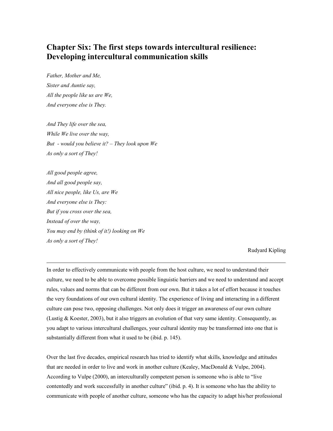# **Chapter Six: The first steps towards intercultural resilience: Developing intercultural communication skills**

*Father, Mother and Me, Sister and Auntie say, All the people like us are We, And everyone else is They.* 

*And They life over the sea, While We live over the way, But - would you believe it? – They look upon We As only a sort of They!* 

*All good people agree, And all good people say, All nice people, like Us, are We And everyone else is They: But if you cross over the sea, Instead of over the way, You may end by (think of it!) looking on We As only a sort of They!* 

 $\ddot{\phantom{a}}$ 

Rudyard Kipling

In order to effectively communicate with people from the host culture, we need to understand their culture, we need to be able to overcome possible linguistic barriers and we need to understand and accept rules, values and norms that can be different from our own. But it takes a lot of effort because it touches the very foundations of our own cultural identity. The experience of living and interacting in a different culture can pose two, opposing challenges. Not only does it trigger an awareness of our own culture (Lustig & Koester, 2003), but it also triggers an evolution of that very same identity. Consequently, as you adapt to various intercultural challenges, your cultural identity may be transformed into one that is substantially different from what it used to be (ibid. p. 145).

Over the last five decades, empirical research has tried to identify what skills, knowledge and attitudes that are needed in order to live and work in another culture (Kealey, MacDonald & Vulpe, 2004). According to Vulpe (2000), an interculturally competent person is someone who is able to "live contentedly and work successfully in another culture" (ibid. p. 4). It is someone who has the ability to communicate with people of another culture, someone who has the capacity to adapt his/her professional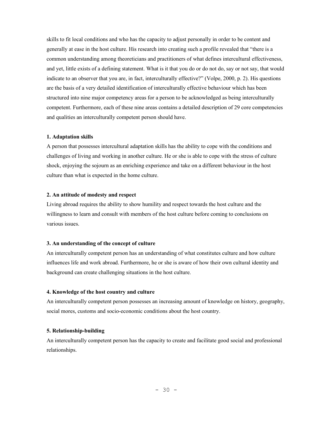skills to fit local conditions and who has the capacity to adjust personally in order to be content and generally at ease in the host culture. His research into creating such a profile revealed that "there is a common understanding among theoreticians and practitioners of what defines intercultural effectiveness, and yet, little exists of a defining statement. What is it that you do or do not do, say or not say, that would indicate to an observer that you are, in fact, interculturally effective?" (Volpe, 2000, p. 2). His questions are the basis of a very detailed identification of interculturally effective behaviour which has been structured into nine major competency areas for a person to be acknowledged as being interculturally competent. Furthermore, each of these nine areas contains a detailed description of 29 core competencies and qualities an interculturally competent person should have.

#### **1. Adaptation skills**

A person that possesses intercultural adaptation skills has the ability to cope with the conditions and challenges of living and working in another culture. He or she is able to cope with the stress of culture shock, enjoying the sojourn as an enriching experience and take on a different behaviour in the host culture than what is expected in the home culture.

## **2. An attitude of modesty and respect**

Living abroad requires the ability to show humility and respect towards the host culture and the willingness to learn and consult with members of the host culture before coming to conclusions on various issues.

## **3. An understanding of the concept of culture**

An interculturally competent person has an understanding of what constitutes culture and how culture influences life and work abroad. Furthermore, he or she is aware of how their own cultural identity and background can create challenging situations in the host culture.

## **4. Knowledge of the host country and culture**

An interculturally competent person possesses an increasing amount of knowledge on history, geography, social mores, customs and socio-economic conditions about the host country.

# **5. Relationship-building**

An interculturally competent person has the capacity to create and facilitate good social and professional relationships.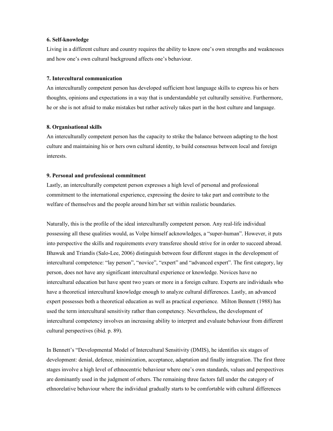## **6. Self-knowledge**

Living in a different culture and country requires the ability to know one's own strengths and weaknesses and how one's own cultural background affects one's behaviour.

#### **7. Intercultural communication**

An interculturally competent person has developed sufficient host language skills to express his or hers thoughts, opinions and expectations in a way that is understandable yet culturally sensitive. Furthermore, he or she is not afraid to make mistakes but rather actively takes part in the host culture and language.

#### **8. Organisational skills**

An interculturally competent person has the capacity to strike the balance between adapting to the host culture and maintaining his or hers own cultural identity, to build consensus between local and foreign interests.

## **9. Personal and professional commitment**

Lastly, an interculturally competent person expresses a high level of personal and professional commitment to the international experience, expressing the desire to take part and contribute to the welfare of themselves and the people around him/her set within realistic boundaries.

Naturally, this is the profile of the ideal interculturally competent person. Any real-life individual possessing all these qualities would, as Volpe himself acknowledges, a "super-human". However, it puts into perspective the skills and requirements every transferee should strive for in order to succeed abroad. Bhawuk and Triandis (Salo-Lee, 2006) distinguish between four different stages in the development of intercultural competence: "lay person", "novice", "expert" and "advanced expert". The first category, lay person, does not have any significant intercultural experience or knowledge. Novices have no intercultural education but have spent two years or more in a foreign culture. Experts are individuals who have a theoretical intercultural knowledge enough to analyze cultural differences. Lastly, an advanced expert possesses both a theoretical education as well as practical experience. Milton Bennett (1988) has used the term intercultural sensitivity rather than competency. Nevertheless, the development of intercultural competency involves an increasing ability to interpret and evaluate behaviour from different cultural perspectives (ibid. p. 89).

In Bennett's "Developmental Model of Intercultural Sensitivity (DMIS), he identifies six stages of development: denial, defence, minimization, acceptance, adaptation and finally integration. The first three stages involve a high level of ethnocentric behaviour where one's own standards, values and perspectives are dominantly used in the judgment of others. The remaining three factors fall under the category of ethnorelative behaviour where the individual gradually starts to be comfortable with cultural differences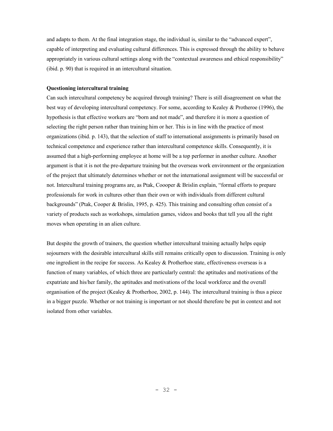and adapts to them. At the final integration stage, the individual is, similar to the "advanced expert", capable of interpreting and evaluating cultural differences. This is expressed through the ability to behave appropriately in various cultural settings along with the "contextual awareness and ethical responsibility" (ibid. p. 90) that is required in an intercultural situation.

# **Questioning intercultural training**

Can such intercultural competency be acquired through training? There is still disagreement on what the best way of developing intercultural competency. For some, according to Kealey & Protheroe (1996), the hypothesis is that effective workers are "born and not made", and therefore it is more a question of selecting the right person rather than training him or her. This is in line with the practice of most organizations (ibid. p. 143), that the selection of staff to international assignments is primarily based on technical competence and experience rather than intercultural competence skills. Consequently, it is assumed that a high-performing employee at home will be a top performer in another culture. Another argument is that it is not the pre-departure training but the overseas work environment or the organization of the project that ultimately determines whether or not the international assignment will be successful or not. Intercultural training programs are, as Ptak, Coooper & Brislin explain, "formal efforts to prepare professionals for work in cultures other than their own or with individuals from different cultural backgrounds" (Ptak, Cooper & Brislin, 1995, p. 425). This training and consulting often consist of a variety of products such as workshops, simulation games, videos and books that tell you all the right moves when operating in an alien culture.

But despite the growth of trainers, the question whether intercultural training actually helps equip sojourners with the desirable intercultural skills still remains critically open to discussion. Training is only one ingredient in the recipe for success. As Kealey & Protherhoe state, effectiveness overseas is a function of many variables, of which three are particularly central: the aptitudes and motivations of the expatriate and his/her family, the aptitudes and motivations of the local workforce and the overall organisation of the project (Kealey & Protherhoe, 2002, p. 144). The intercultural training is thus a piece in a bigger puzzle. Whether or not training is important or not should therefore be put in context and not isolated from other variables.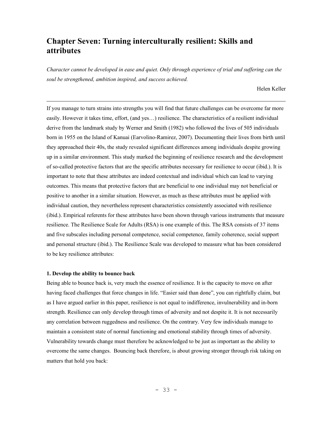# **Chapter Seven: Turning interculturally resilient: Skills and attributes**

*Character cannot be developed in ease and quiet. Only through experience of trial and suffering can the soul be strengthened, ambition inspired, and success achieved.* 

Helen Keller

If you manage to turn strains into strengths you will find that future challenges can be overcome far more easily. However it takes time, effort, (and yes…) resilience. The characteristics of a resilient individual derive from the landmark study by Werner and Smith (1982) who followed the lives of 505 individuals born in 1955 on the Island of Kanuai (Earvolino-Ramirez, 2007). Documenting their lives from birth until they approached their 40s, the study revealed significant differences among individuals despite growing up in a similar environment. This study marked the beginning of resilience research and the development of so-called protective factors that are the specific attributes necessary for resilience to occur (ibid.). It is important to note that these attributes are indeed contextual and individual which can lead to varying outcomes. This means that protective factors that are beneficial to one individual may not beneficial or positive to another in a similar situation. However, as much as these attributes must be applied with individual caution, they nevertheless represent characteristics consistently associated with resilience (ibid.). Empirical referents for these attributes have been shown through various instruments that measure resilience. The Resilience Scale for Adults (RSA) is one example of this. The RSA consists of 37 items and five subscales including personal competence, social competence, family coherence, social support and personal structure (ibid.). The Resilience Scale was developed to measure what has been considered to be key resilience attributes:

#### **1. Develop the ability to bounce back**

 $\overline{a}$ 

Being able to bounce back is, very much the essence of resilience. It is the capacity to move on after having faced challenges that force changes in life. "Easier said than done", you can rightfully claim, but as I have argued earlier in this paper, resilience is not equal to indifference, invulnerability and in-born strength. Resilience can only develop through times of adversity and not despite it. It is not necessarily any correlation between ruggedness and resilience. On the contrary. Very few individuals manage to maintain a consistent state of normal functioning and emotional stability through times of adversity. Vulnerability towards change must therefore be acknowledged to be just as important as the ability to overcome the same changes. Bouncing back therefore, is about growing stronger through risk taking on matters that hold you back: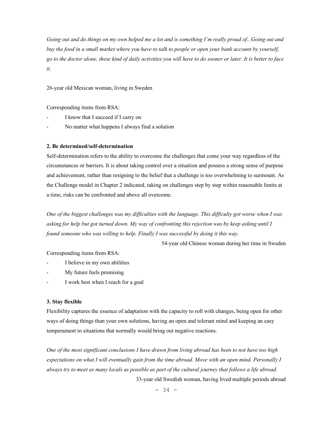*Going out and do things on my own helped me a lot and is something I'm really proud of...Going out and buy the food in a small market where you have to talk to people or open your bank account by yourself, go to the doctor alone, these kind of daily activities you will have to do sooner or later. It is better to face it.* 

26-year old Mexican woman, living in Sweden

Corresponding items from RSA:

- I know that I succeed if I carry on
- No matter what happens I always find a solution

## **2. Be determined/self-determination**

Self-determination refers to the ability to overcome the challenges that come your way regardless of the circumstances or barriers. It is about taking control over a situation and possess a strong sense of purpose and achievement, rather than resigning to the belief that a challenge is too overwhelming to surmount. As the Challenge model in Chapter 2 indicated, taking on challenges step by step within reasonable limits at a time, risks can be confronted and above all overcome.

*One of the biggest challenges was my difficulties with the language. This difficulty got worse when I was asking for help but got turned down. My way of confronting this rejection was by keep asking until I found someone who was willing to help. Finally I was successful by doing it this way.* 

54-year old Chinese woman during her time in Sweden

Corresponding items from RSA:

- I believe in my own abilities
- My future feels promising
- I work best when I reach for a goal

## **3. Stay flexible**

Flexibility captures the essence of adaptation with the capacity to roll with changes, being open for other ways of doing things than your own solutions, having an open and tolerant mind and keeping an easy temperament to situations that normally would bring out negative reactions.

*One of the most significant conclusions I have drawn from living abroad has been to not have too high expectations on what I will eventually gain from the time abroad. Move with an open mind. Personally I always try to meet as many locals as possible as part of the cultural journey that follows a life abroad.*  33-year old Swedish woman, having lived multiple periods abroad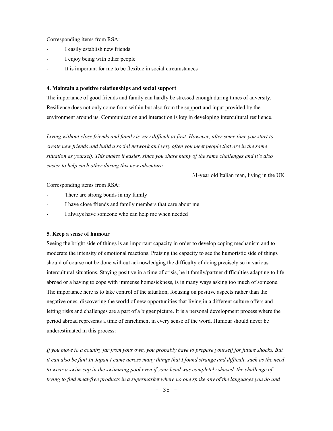Corresponding items from RSA:

- I easily establish new friends
- I enjoy being with other people
- It is important for me to be flexible in social circumstances

## **4. Maintain a positive relationships and social support**

The importance of good friends and family can hardly be stressed enough during times of adversity. Resilience does not only come from within but also from the support and input provided by the environment around us. Communication and interaction is key in developing intercultural resilience.

*Living without close friends and family is very difficult at first. However, after some time you start to create new friends and build a social network and very often you meet people that are in the same situation as yourself. This makes it easier, since you share many of the same challenges and it's also easier to help each other during this new adventure.* 

31-year old Italian man, living in the UK.

Corresponding items from RSA:

- There are strong bonds in my family
- I have close friends and family members that care about me
- I always have someone who can help me when needed

## **5. Keep a sense of humour**

Seeing the bright side of things is an important capacity in order to develop coping mechanism and to moderate the intensity of emotional reactions. Praising the capacity to see the humoristic side of things should of course not be done without acknowledging the difficulty of doing precisely so in various intercultural situations. Staying positive in a time of crisis, be it family/partner difficulties adapting to life abroad or a having to cope with immense homesickness, is in many ways asking too much of someone. The importance here is to take control of the situation, focusing on positive aspects rather than the negative ones, discovering the world of new opportunities that living in a different culture offers and letting risks and challenges are a part of a bigger picture. It is a personal development process where the period abroad represents a time of enrichment in every sense of the word. Humour should never be underestimated in this process:

*If you move to a country far from your own, you probably have to prepare yourself for future shocks. But it can also be fun! In Japan I came across many things that I found strange and difficult, such as the need to wear a swim-cap in the swimming pool even if your head was completely shaved, the challenge of trying to find meat-free products in a supermarket where no one spoke any of the languages you do and*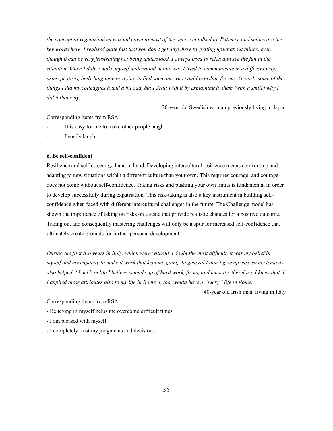*the concept of vegetarianism was unknown to most of the ones you talked to. Patience and smiles are the key words here. I realised quite fast that you don't get anywhere by getting upset about things, even though it can be very frustrating not being understood. I always tried to relax and see the fun in the situation. When I didn't make myself understood in one way I tried to communicate in a different way, using pictures, body language or trying to find someone who could translate for me. At work, some of the things I did my colleagues found a bit odd, but I dealt with it by explaining to them (with a smile) why I did it that way.* 

30-year old Swedish woman previously living in Japan

# Corresponding items from RSA

- It is easy for me to make other people laugh
- I easily laugh

# **6. Be self-confident**

Resilience and self-esteem go hand in hand. Developing intercultural resilience means confronting and adapting to new situations within a different culture than your own. This requires courage, and courage does not come without self-confidence. Taking risks and pushing your own limits is fundamental in order to develop successfully during expatriation. This risk-taking is also a key instrument in building selfconfidence when faced with different intercultural challenges in the future. The Challenge model has shown the importance of taking on risks on a scale that provide realistic chances for a positive outcome. Taking on, and consequently mastering challenges will only be a spur for increased self-confidence that ultimately create grounds for further personal development.

*During the first two years in Italy, which were without a doubt the most difficult, it was my belief in myself and my capacity to make it work that kept me going. In general I don't give up easy so my tenacity also helped. "Luck" in life I believe is made up of hard work, focus, and tenacity, therefore, I knew that if I applied these attributes also to my life in Rome, I, too, would have a "lucky" life in Rome.* 

40-year old Irish man, living in Italy

Corresponding items from RSA

- Believing in myself helps me overcome difficult times
- I am pleased with myself
- I completely trust my judgments and decisions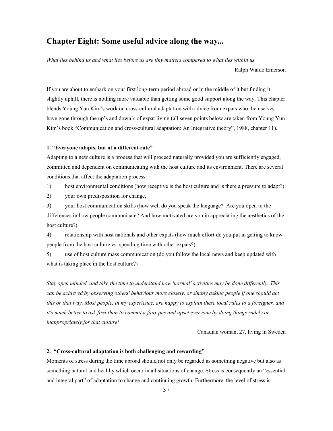# **Chapter Eight: Some useful advice along the way...**

*What lies behind us and what lies before us are tiny matters compared to what lies within us.* 

Ralph Waldo Emerson

If you are about to embark on your first long-term period abroad or in the middle of it but finding it slightly uphill, there is nothing more valuable than getting some good support along the way. This chapter blends Young Yun Kim's work on cross-cultural adaptation with advice from expats who themselves have gone through the up's and down's of expat living (all seven points below are taken from Young Yun Kim's book "Communication and cross-cultural adaptation: An Integrative theory", 1988, chapter 11).

#### **1. "Everyone adapts, but at a different rate"**

 $\overline{a}$ 

Adapting to a new culture is a process that will proceed naturally provided you are sufficiently engaged, committed and dependent on communicating with the host culture and its environment. There are several conditions that affect the adaptation process:

1) host environmental conditions (how receptive is the host culture and is there a pressure to adapt?)

2) your own predisposition for change,

3) your host communication skills (how well do you speak the language? Are you open to the differences in how people communicate? And how motivated are you in appreciating the aesthetics of the host culture?)

4) relationship with host nationals and other expats (how much effort do you put in getting to know people from the host culture vs. spending time with other expats?)

5) use of host culture mass communication (do you follow the local news and keep updated with what is taking place in the host culture?)

*Stay open minded, and take the time to understand how 'normal' activities may be done differently. This can be achieved by observing others' behaviour more closely, or simply asking people if one should act this or that way. Most people, in my experience, are happy to explain these local rules to a foreigner, and it's much better to ask first than to commit a faux pas and upset everyone by doing things rudely or inappropriately for that culture!* 

Canadian woman, 27, living in Sweden

## **2. "Cross-cultural adaptation is both challenging and rewarding"**

Moments of stress during the time abroad should not only be regarded as something negative but also as something natural and healthy which occur in all situations of change. Stress is consequently an "essential and integral part" of adaptation to change and continuing growth. Furthermore, the level of stress is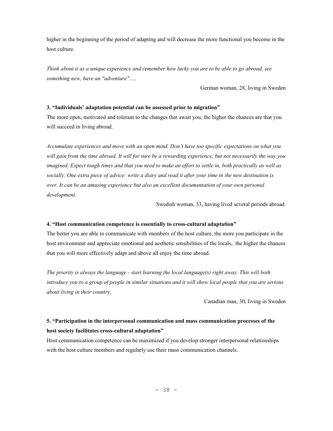higher in the beginning of the period of adapting and will decrease the more functional you become in the host culture.

*Think about it as a unique experience and remember how lucky you are to be able to go abroad, see something new, have an "adventure".....* 

German woman, 28, living in Sweden

## **3. "Individuals' adaptation potential can be assessed prior to migration"**

The more open, motivated and tolerant to the changes that await you, the higher the chances are that you will succeed in living abroad.

*Accumulate experiences and move with an open mind. Don't have too specific expectations on what you will gain from the time abroad. It will for sure be a rewarding experience, but not necessarily the way you imagined. Expect tough times and that you need to make an effort to settle in, both practically as well as socially. One extra piece of advice: write a diary and read it after your time in the new destination is over. It can be an amusing experience but also an excellent documentation of your own personal development.* 

Swedish woman, 33, having lived several periods abroad.

## **4. "Host communication competence is essentially to cross-cultural adaptation"**

The better you are able to communicate with members of the host culture, the more you participate in the host environment and appreciate emotional and aesthetic sensibilities of the locals, the higher the chances that you will more effectively adapt and above all enjoy the time abroad.

*The priority is always the language - start learning the local language(s) right away. This will both introduce you to a group of people in similar situations and it will show local people that you are serious about living in their country.* 

Canadian man, 30, living in Sweden

# **5. "Participation in the interpersonal communication and mass communication processes of the host society facilitates cross-cultural adaptation"**

Host communication competence can be maximized if you develop stronger interpersonal relationships with the host culture members and regularly use their mass communication channels.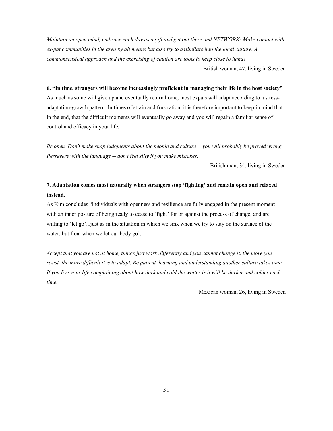*Maintain an open mind, embrace each day as a gift and get out there and NETWORK! Make contact with ex-pat communities in the area by all means but also try to assimilate into the local culture. A commonsensical approach and the exercising of caution are tools to keep close to hand!*  British woman, 47, living in Sweden

**6. "In time, strangers will become increasingly proficient in managing their life in the host society"** 

As much as some will give up and eventually return home, most expats will adapt according to a stressadaptation-growth pattern. In times of strain and frustration, it is therefore important to keep in mind that in the end, that the difficult moments will eventually go away and you will regain a familiar sense of control and efficacy in your life.

*Be open. Don't make snap judgments about the people and culture -- you will probably be proved wrong. Persevere with the language -- don't feel silly if you make mistakes.* 

British man, 34, living in Sweden

# **7. Adaptation comes most naturally when strangers stop 'fighting' and remain open and relaxed instead.**

As Kim concludes "individuals with openness and resilience are fully engaged in the present moment with an inner posture of being ready to cease to 'fight' for or against the process of change, and are willing to 'let go'... just as in the situation in which we sink when we try to stay on the surface of the water, but float when we let our body go'.

*Accept that you are not at home, things just work differently and you cannot change it, the more you resist, the more difficult it is to adapt. Be patient, learning and understanding another culture takes time. If you live your life complaining about how dark and cold the winter is it will be darker and colder each time.* 

Mexican woman, 26, living in Sweden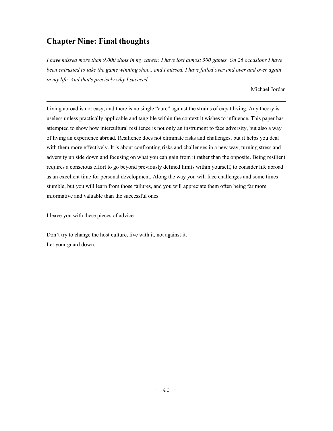# **Chapter Nine: Final thoughts**

 $\overline{a}$ 

*I have missed more than 9,000 shots in my career. I have lost almost 300 games. On 26 occasions I have been entrusted to take the game winning shot... and I missed. I have failed over and over and over again in my life. And that's precisely why I succeed.* 

Michael Jordan

Living abroad is not easy, and there is no single "cure" against the strains of expat living. Any theory is useless unless practically applicable and tangible within the context it wishes to influence. This paper has attempted to show how intercultural resilience is not only an instrument to face adversity, but also a way of living an experience abroad. Resilience does not eliminate risks and challenges, but it helps you deal with them more effectively. It is about confronting risks and challenges in a new way, turning stress and adversity up side down and focusing on what you can gain from it rather than the opposite. Being resilient requires a conscious effort to go beyond previously defined limits within yourself, to consider life abroad as an excellent time for personal development. Along the way you will face challenges and some times stumble, but you will learn from those failures, and you will appreciate them often being far more informative and valuable than the successful ones.

I leave you with these pieces of advice:

Don't try to change the host culture, live with it, not against it. Let your guard down.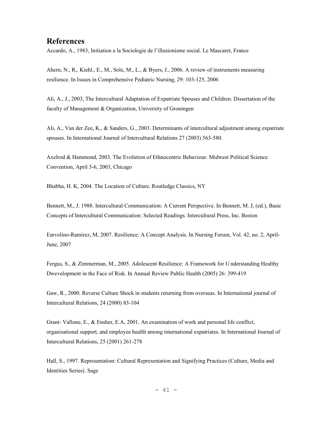# **References**

Accardo, A., 1983, Initiation a la Sociologie de l'illusionisme social. Le Mascaret, France

Ahern, N., R,. Kiehl., E., M., Sole, M., L., & Byers, J., 2006. A review of instruments measuring resilience. In Issues in Comprehensive Pediatric Nursing, 29: 103-125, 2006

Ali, A., J., 2003, The Intercultural Adaptation of Expatriate Spouses and Children. Dissertation of the faculty of Management & Organization, University of Groningen

Ali, A., Van der Zee, K., & Sanders, G., 2003. Determinants of intercultural adjustment among expatriate spouses. In International Journal of Intercultural Relations 27 (2003) 563-580.

Axelrod & Hammond, 2003. The Evolution of Ethnocentric Behaviour. Midwest Political Science Convention, April 3-6, 2003, Chicago

Bhabha, H. K, 2004. The Location of Culture. Routledge Classics, NY

Bennett, M., J. 1988. Intercultural Communication: A Current Perspective. In Bennett, M. J, (ed.), Basic Concepts of Intercultural Communication: Selected Readings. Intercultural Press, Inc. Boston

Earvolino-Ramirez, M, 2007. Resilience: A Concept Analysis. In Nursing Forum, Vol. 42, no. 2, April-June, 2007

Fergus, S., & Zimmerman, M., 2005. Adolescent Resilience: A Framework for U nderstanding Healthy Dwevelopment in the Face of Risk. In Annual Review Public Health (2005) 26: 399-419

Gaw, R., 2000. Reverse Culture Shock in students returning from overseas. In International journal of Intercultural Relations, 24 (2000) 83-104

Grant- Vallone, E., & Ensher, E.A, 2001. An examination of work and personal life conflict, organisational support, and employee health among international expatriates. In International Journal of Intercultural Relations, 25 (2001) 261-278

Hall, S., 1997. Representation: Cultural Representation and Signifying Practices (Culture, Media and Identities Series). Sage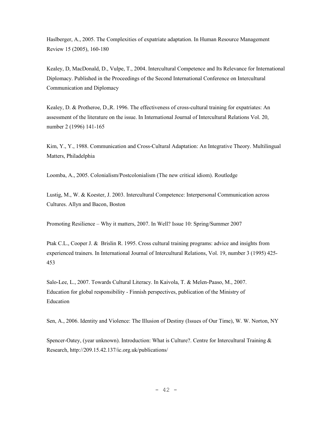Haslberger, A., 2005. The Complexities of expatriate adaptation. In Human Resource Management Review 15 (2005), 160-180

Kealey, D, MacDonald, D., Vulpe, T., 2004. Intercultural Competence and Its Relevance for International Diplomacy. Published in the Proceedings of the Second International Conference on Intercultural Communication and Diplomacy

Kealey, D. & Protheroe, D.,R. 1996. The effectiveness of cross-cultural training for expatriates: An assessment of the literature on the issue. In International Journal of Intercultural Relations Vol. 20, number 2 (1996) 141-165

Kim, Y., Y., 1988. Communication and Cross-Cultural Adaptation: An Integrative Theory. Multilingual Matters, Philadelphia

Loomba, A., 2005. Colonialism/Postcolonialism (The new critical idiom). Routledge

Lustig, M., W. & Koester, J. 2003. Intercultural Competence: Interpersonal Communication across Cultures. Allyn and Bacon, Boston

Promoting Resilience – Why it matters, 2007. In Well? Issue 10: Spring/Summer 2007

Ptak C.L., Cooper J. & Brislin R. 1995. Cross cultural training programs: advice and insights from experienced trainers. In International Journal of Intercultural Relations, Vol. 19, number 3 (1995) 425- 453

Salo-Lee, L., 2007. Towards Cultural Literacy. In Kaivola, T. & Melen-Paaso, M., 2007. Education for global responsibility - Finnish perspectives, publication of the Ministry of Education

Sen, A., 2006. Identity and Violence: The Illusion of Destiny (Issues of Our Time), W. W. Norton, NY

Spencer-Oatey, (year unknown). Introduction: What is Culture?. Centre for Intercultural Training & Research, http://209.15.42.137/ic.org.uk/publications/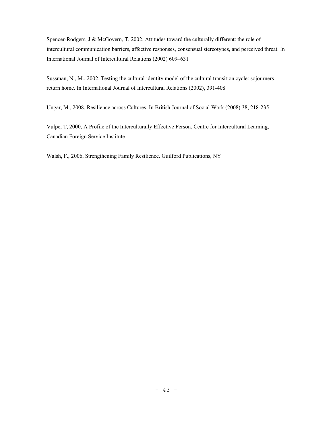Spencer-Rodgers, J & McGovern, T, 2002. Attitudes toward the culturally different: the role of intercultural communication barriers, affective responses, consensual stereotypes, and perceived threat. In International Journal of Intercultural Relations (2002) 609–631

Sussman, N., M., 2002. Testing the cultural identity model of the cultural transition cycle: sojourners return home. In International Journal of Intercultural Relations (2002), 391-408

Ungar, M., 2008. Resilience across Cultures. In British Journal of Social Work (2008) 38, 218-235

Vulpe, T, 2000, A Profile of the Interculturally Effective Person. Centre for Intercultural Learning, Canadian Foreign Service Institute

Walsh, F., 2006, Strengthening Family Resilience. Guilford Publications, NY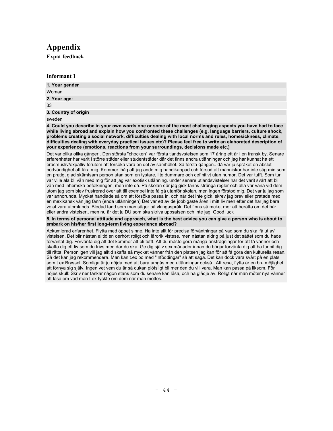# **Appendix**

**Expat feedback** 

## **Informant 1**

| 1. Your gender       |  |
|----------------------|--|
| Woman                |  |
| 2. Your age:         |  |
| 33                   |  |
| 3. Country of origin |  |
| sweden               |  |

**4. Could you describe in your own words one or some of the most challenging aspects you have had to face while living abroad and explain how you confronted these challenges (e.g. language barriers, culture shock, problems creating a social network, difficulties dealing with local norms and rules, homesickness, climate, difficulties dealing with everyday practical issues etc)? Please feel free to write an elaborated description of your experience (emotions, reactions from your surroundings, decisions made etc.)** 

Det var olika olika gånger.. Den största "chocken" var första tlandsvstelsen som 17 åring ett år i en fransk by. Senare erfarenheter har varit i större städer eller studentstäder där det finns andra utlänningar och jag har kunnat ha ett erasmusliv/expatliv förutom att försöka vara en del av samhället. Så första gången.. då var ju språket en abslut nödvändighet att lära mig. Kommer ihåg att jag ände mig handikappad och försod att människor har inte såg min som en pratig, glad skämtsam person utan som en tystare, lite dummare och definitivt utan humor. Det var tufft. Som tur var ville ala bli vän med mig för att jag var exotisk utlänning. under senare utlandsvistelser har det varit svårt att bli vän med inhemska befolkningen, men inte då. På skolan där jag gick fanns stränga regler och alla var vana vid dem utom jag som blev frustrerad över att till exempel inte få gå utanför skolan, men ingen förstod mig. Det var ju jag som var annorunda. Mycket handlade så om att försöka passa in. och när det inte gick, skrev jag brev eller pratade med en mexikansk vän jag fann (enda utlänningen) Det var ett av de jobbigaste åren i mitt liv men efter det har jag bara velat vara utomlands. Blodad tand som man säger på vkingaspråk. Det finns så mcket mer att berätta om det här eller andra vistelser.. men nu är det ju DU som ska skriva uppsatsen och inte jag. Good luck

**5. In terms of personal attitude and approach, what is the best advice you can give a person who is about to embark on his/her first long-term living experience abroad?** 

Ackumlerad erfarenhet. Flytta med öppet sinne. Ha inte allt för precisa förväntningar på vad som du ska 'få ut av' vistelsen. Det blir nästan alltid en oerhört roligt och lärorik vistese, men nästan aldrig på just det sättet som du hade förväntat dig. Förvänta dig att det kommer att bli tufft. Att du måste göra många ansträgningar för att få vänner och skaffa dig ett liv som du trivs med där du ska. Ge dig själv sex månader innan du börjar förvänta dig att ha funnit dig till rätta. Personligen vill jag alltid skaffa så mycket vänner från den platsen jag kan för att få göra den kulturella resan. Så det kan jag rekommendera. Man kan t.ex bo med "inföddingar" så att säga. Det kan dock vara svårt på en plats som t.ex Bryssel. Somliga är ju nöjda med att bara umgås med utlänningar också.. Att resa, flytta är en bra möjlighet att förnya sig själv. Ingen vet vem du är så dukan plötsligt bli mer den du vill vara. Man kan passa på liksom. För nöjes skull: Skriv ner tankar någon stans som du senare kan läsa, och ha glädje av. Roligt när man möter nya vänner att läsa om vad man t.ex tyckte om dem när man möttes.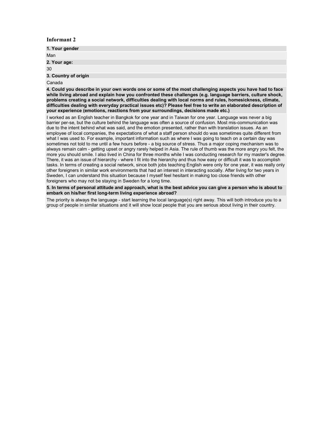| 1. Your gender       |  |
|----------------------|--|
| Man                  |  |
| 2. Your age:         |  |
| 30                   |  |
| 3. Country of origin |  |
| Canada               |  |

**4. Could you describe in your own words one or some of the most challenging aspects you have had to face while living abroad and explain how you confronted these challenges (e.g. language barriers, culture shock, problems creating a social network, difficulties dealing with local norms and rules, homesickness, climate, difficulties dealing with everyday practical issues etc)? Please feel free to write an elaborated description of your experience (emotions, reactions from your surroundings, decisions made etc.)** 

I worked as an English teacher in Bangkok for one year and in Taiwan for one year. Language was never a big barrier per-se, but the culture behind the language was often a source of confusion. Most mis-communication was due to the intent behind what was said, and the emotion presented, rather than with translation issues. As an employee of local companies, the expectations of what a staff person should do was sometimes quite different from what I was used to. For example, important information such as where I was going to teach on a certain day was sometimes not told to me until a few hours before - a big source of stress. Thus a major coping mechanism was to always remain calm - getting upset or angry rarely helped in Asia. The rule of thumb was the more angry you felt, the more you should smile. I also lived in China for three months while I was conducting research for my master's degree. There, it was an issue of hierarchy - where I fit into the hierarchy and thus how easy or difficult it was to accomplish tasks. In terms of creating a social network, since both jobs teaching English were only for one year, it was really only other foreigners in similar work environments that had an interest in interacting socially. After living for two years in Sweden, I can understand this situation because I myself feel hesitant in making too close friends with other foreigners who may not be staying in Sweden for a long time.

**5. In terms of personal attitude and approach, what is the best advice you can give a person who is about to embark on his/her first long-term living experience abroad?** 

The priority is always the language - start learning the local language(s) right away. This will both introduce you to a group of people in similar situations and it will show local people that you are serious about living in their country.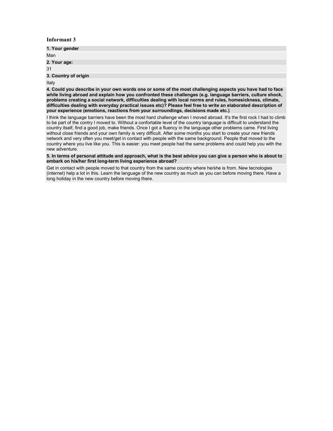| 1. Your gender       |  |
|----------------------|--|
| Man                  |  |
| 2. Your age:         |  |
| 31                   |  |
| 3. Country of origin |  |
|                      |  |

Italy

**4. Could you describe in your own words one or some of the most challenging aspects you have had to face while living abroad and explain how you confronted these challenges (e.g. language barriers, culture shock, problems creating a social network, difficulties dealing with local norms and rules, homesickness, climate, difficulties dealing with everyday practical issues etc)? Please feel free to write an elaborated description of your experience (emotions, reactions from your surroundings, decisions made etc.)** 

I think the language barriers have been the most hard challenge when I moved abroad. It's the first rock I had to climb to be part of the contry I moved to. Without a confortable level of the country language is difficult to understand the country itself, find a good job, make friends. Once I got a fluency in the language other problems came. First living without close friends and your own family is very difficult. After some months you start to create your new friends network and very often you meet/get in contact with people with the same background. People that moved to the country where you live like you. This is easier: you meet people had the same problems and could help you with the new adventure.

**5. In terms of personal attitude and approach, what is the best advice you can give a person who is about to embark on his/her first long-term living experience abroad?** 

Get in contact with people moved to that country from the same country where he/she is from. New tecnologies (internet) help a lot in this. Learn the language of the new country as much as you can before moving there. Have a long holiday in the new country before moving there.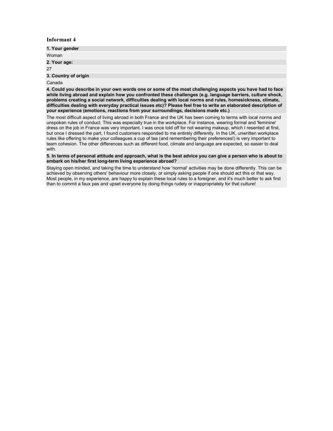| 1. Your gender       |  |
|----------------------|--|
| Woman                |  |
| 2. Your age:         |  |
| 27                   |  |
| 3. Country of origin |  |
|                      |  |

Canada

**4. Could you describe in your own words one or some of the most challenging aspects you have had to face while living abroad and explain how you confronted these challenges (e.g. language barriers, culture shock, problems creating a social network, difficulties dealing with local norms and rules, homesickness, climate, difficulties dealing with everyday practical issues etc)? Please feel free to write an elaborated description of your experience (emotions, reactions from your surroundings, decisions made etc.)** 

The most difficult aspect of living abroad in both France and the UK has been coming to terms with local norms and unspoken rules of conduct. This was especially true in the workplace. For instance, wearing formal and 'feminine' dress on the job in France was very important. I was once told off for not wearing makeup, which I resented at first, but once I dressed the part, I found customers responded to me entirely differently. In the UK, unwritten workplace rules like offering to make your colleagues a cup of tea (and remembering their preferences!) is very important to team cohesion. The other differences such as different food, climate and language are expected, so easier to deal with.

**5. In terms of personal attitude and approach, what is the best advice you can give a person who is about to embark on his/her first long-term living experience abroad?** 

Staying open minded, and taking the time to understand how 'normal' activities may be done differently. This can be achieved by observing others' behaviour more closely, or simply asking people if one should act this or that way. Most people, in my experience, are happy to explain these local rules to a foreigner, and it's much better to ask first than to commit a faux pas and upset everyone by doing things rudely or inappropriately for that culture!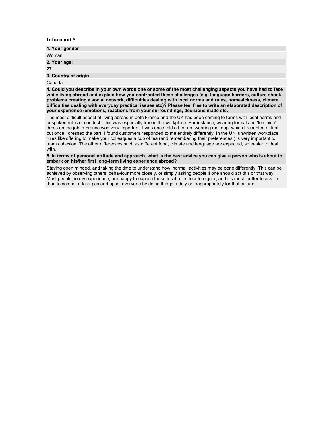| 1. Your gender       |
|----------------------|
| Woman                |
| 2. Your age:         |
| 27                   |
| 3. Country of origin |
|                      |

Canada

**4. Could you describe in your own words one or some of the most challenging aspects you have had to face while living abroad and explain how you confronted these challenges (e.g. language barriers, culture shock, problems creating a social network, difficulties dealing with local norms and rules, homesickness, climate, difficulties dealing with everyday practical issues etc)? Please feel free to write an elaborated description of your experience (emotions, reactions from your surroundings, decisions made etc.)** 

The most difficult aspect of living abroad in both France and the UK has been coming to terms with local norms and unspoken rules of conduct. This was especially true in the workplace. For instance, wearing formal and 'feminine' dress on the job in France was very important. I was once told off for not wearing makeup, which I resented at first, but once I dressed the part, I found customers responded to me entirely differently. In the UK, unwritten workplace rules like offering to make your colleagues a cup of tea (and remembering their preferences!) is very important to team cohesion. The other differences such as different food, climate and language are expected, so easier to deal with.

**5. In terms of personal attitude and approach, what is the best advice you can give a person who is about to embark on his/her first long-term living experience abroad?** 

Staying open minded, and taking the time to understand how 'normal' activities may be done differently. This can be achieved by observing others' behaviour more closely, or simply asking people if one should act this or that way. Most people, in my experience, are happy to explain these local rules to a foreigner, and it's much better to ask first than to commit a faux pas and upset everyone by doing things rudely or inappropriately for that culture!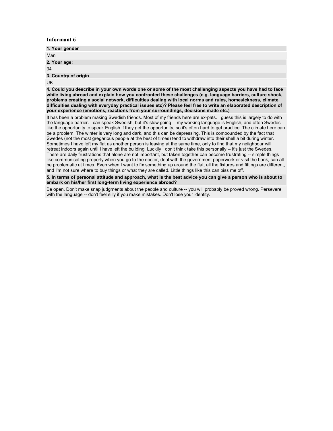| 1. Your gender       |  |
|----------------------|--|
| Man                  |  |
| 2. Your age:         |  |
| 34                   |  |
| 3. Country of origin |  |

UK

**4. Could you describe in your own words one or some of the most challenging aspects you have had to face while living abroad and explain how you confronted these challenges (e.g. language barriers, culture shock, problems creating a social network, difficulties dealing with local norms and rules, homesickness, climate, difficulties dealing with everyday practical issues etc)? Please feel free to write an elaborated description of your experience (emotions, reactions from your surroundings, decisions made etc.)** 

It has been a problem making Swedish friends. Most of my friends here are ex-pats. I guess this is largely to do with the language barrier. I can speak Swedish, but it's slow going -- my working language is English, and often Swedes like the opportunity to speak English if they get the opportunity, so it's often hard to get practice. The climate here can be a problem. The winter is very long and dark, and this can be depressing. This is compounded by the fact that Swedes (not the most gregarious people at the best of times) tend to withdraw into their shell a bit during winter. Sometimes I have left my flat as another person is leaving at the same time, only to find that my neiighbour will retreat indoors again until I have left the building. Luckily I don't think take this personally -- it's just the Swedes. There are daily frustrations that alone are not important, but taken together can become frustrating -- simple things like communicating properly when you go to the doctor, deal with the government paperwork or visit the bank, can all be problematic at times. Even when I want to fix something up around the flat, all the fixtures and fittings are different, and I'm not sure where to buy things or what they are called. Little things like this can piss me off.

**5. In terms of personal attitude and approach, what is the best advice you can give a person who is about to embark on his/her first long-term living experience abroad?** 

Be open. Don't make snap judgments about the people and culture -- you will probably be proved wrong. Persevere with the language -- don't feel silly if you make mistakes. Don't lose your identity.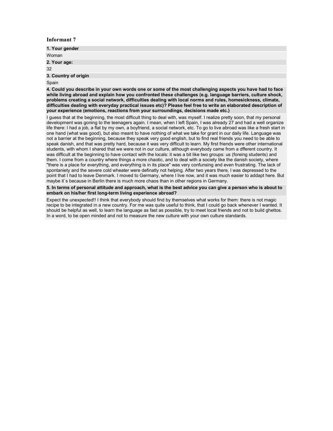| 1. Your gender       |
|----------------------|
| Woman                |
| 2. Your age:         |
| 32                   |
| 3. Country of origin |
| $\sim$ $\sim$        |

Spain

**4. Could you describe in your own words one or some of the most challenging aspects you have had to face while living abroad and explain how you confronted these challenges (e.g. language barriers, culture shock, problems creating a social network, difficulties dealing with local norms and rules, homesickness, climate, difficulties dealing with everyday practical issues etc)? Please feel free to write an elaborated description of your experience (emotions, reactions from your surroundings, decisions made etc.)** 

I guess that at the beginning, the most difficult thing to deal with, was myself. I realize pretty soon, that my personal development was goning to the teenagers again. I mean, when I left Spain, I was already 27 and had a well organize life there: I had a job, a flat by my own, a boyfriend, a social network, etc. To go to live abroad was like a fresh start in one hand (what was good), but also meant to have nothing of what we take for grant in our daily life. Language was not a barrier at the beginning, because they speak very good english, but to find real friends you need to be able to speak danish, and that was pretty hard, because it was very difficult to learn. My first friends were other international students, with whom I shared that we were not in our culture, although everybody came from a dfferent country. It was difficult at the beginning to have contact with the locals: it was a bit like two groups: us (foreing students) and them. I come from a country where things a more chaotic, and to deal with a society like the danish society, where "there is a place for everything, and everything is in its place" was very confunsing and even frustrating. The lack of spontaniety and the severe cold wheater were definatly not helping. After two years there, I was depressed to the point that I had to leave Denmark. I moved to Germany, where I live now, and it was much easier to addapt here. But maybe it's because in Berlin there is much more chaos than in other regions in Germany.

**5. In terms of personal attitude and approach, what is the best advice you can give a person who is about to embark on his/her first long-term living experience abroad?** 

Expect the unexpected!! I think that everybody should find by themselves what works for them: there is not magic recipe to be integrated in a new country. For me was quite useful to think, that I could go back whenever I wanted. It should be helpful as well, to learn the language as fast as possible, try to meet local friends and not to build ghettos. In a word, to be open minded and not to measure the new culture with your own culture standards.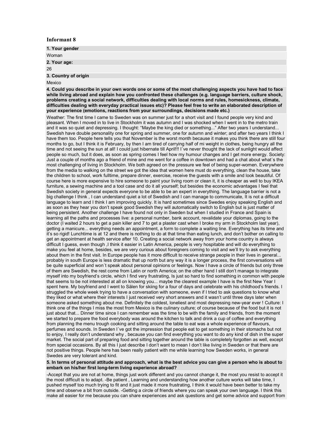| 1. Your gender       |  |
|----------------------|--|
| Woman                |  |
| 2. Your age:         |  |
| 26                   |  |
| 3. Country of origin |  |

#### Mexico

**4. Could you describe in your own words one or some of the most challenging aspects you have had to face while living abroad and explain how you confronted these challenges (e.g. language barriers, culture shock, problems creating a social network, difficulties dealing with local norms and rules, homesickness, climate, difficulties dealing with everyday practical issues etc)? Please feel free to write an elaborated description of your experience (emotions, reactions from your surroundings, decisions made etc.)** 

Weather: The first time I came to Sweden was on summer just for a short visit and I found people very kind and pleasant. When I moved in to live in Stockholm it was autumn and I was shocked when I went in to the metro train and it was so quiet and depressing. I thought: "Maybe the king died or something..." After two years I understand... Swedish have double personality one for spring and summer, one for autumn and winter; and after two years I think I have them too. People here tells you that November is the worst month because it makes you think there are still four months to go, but I think it is February, by then I am tired of carrying half of mi weight in clothes, being hungry all the time and not seeing the sun at all! I could just hibernate till April!!! I´ve never thought the lack of sunlight would affect people so much, but it does, as soon as spring comes I feel how my humour changes and I get more energy. Society: Just a couple of months ago a friend of mine and me went for a coffee in downtown and had a chat about what´s the most challenging of living in Stockholm. We both agreed on the pressure we feel of being super-women. Everywhere from the media to walking on the street we got the idea that women here must do everything, clean the house, take the children to school, work fulltime, prepare dinner, exercise, receive the guests with a smile and look beautiful. Of course here is more expensive to hire someone to paint your living room or clean it, it is cheaper as well to buy IKEA furniture, a sewing machine and a tool case and do it all yourself; but besides the economic advantages I feel that Swedish society in general expects everyone to be able to be an expert in everything. The language barrier is not a big challenge I think, I can understand quiet a lot of Swedish and I can manage to communicate, It is not a difficult language to learn and I think I am improving quickly. It is hard sometimes since Swedes enjoy speaking English and as soon as they hear you don't speak good Swedish they will automatically switch to English but is just matter of being persistent. Another challenge I have found not only in Sweden but when I studied in France and Spain is learning all the paths and processes live: a personal number, bank account, revalidate your diplomas, going to the doctor (I waited 2 hours to get a pain killer and 7 to get a plaster cast when I broke my arm in Stockholm last year), getting a manicure... everything needs an appointment, a form to complete a waiting line. Everything has its time and it's so rigid! Lunchtime is at 12 and there is nothing to do at that time than eating lunch, and don't bother on calling to get an appointment at health service after 10. Creating a social network away from your home country is always difficult I guess, even though ,I think it easier in Latin America, people is very hospitable and will do everything to make you feel at home, besides, we are very curious about foreigners coming to visit and we'll try to ask everything about them in the first visit. In Europe people has it more difficult to receive strange people in their lives in general... probably in south Europe is less dramatic that up north but any way it is a longer process, the first conversations will be quite superficial and won´t speak about personal opinions or feelings. Now I have a circle of friends but only three of them are Swedish, the rest come from Latin or north America; on the other hand I still don't manage to integrate myself into my boyfriend's circle, which I find very frustrating, Is just so hard to find something in common with people that seems to be not interested at all on knowing you... maybe the clearest example I have is the first New Year I spent here. My boyfriend and I went to Sälen for skiing for a four of days and celebrate with his childhood's friends. I struggled the whole week trying to have a conversation with someone, even if I tried to ask questions to know what they liked or what where their interests I just received very short answers and it wasn't until three days later when someone asked something about me. Definitely the coldest, loneliest and most depressing new-year ever ! Culture: I think one of the things I miss the most from Mexico is the culinary culture; of course because of the food but it is not just about that... Dinner time since I can remember was the time to be with the family and friends, from the moment we started to prepare the food everybody was around the kitchen to talk and drink a cup of coffee and everything from planning the menu trough cooking and sitting around the table to eat was a whole experience of flavours, perfumes and sounds. In Sweden I´ve got the impression that people eat to get something in their stomachs but not to enjoy, I really don't understand why , because you can find everything you want to do any kind of dish in the super market. The social part of preparing food and sitting together around the table is completely forgotten as well, except from special occasions. By all this I just describe I don't want to mean I don't like living in Sweden or that there are not positive things. People here has been really patient with me while learning how Sweden works, in general Swedes are very tolerant and kind.

#### **5. In terms of personal attitude and approach, what is the best advice you can give a person who is about to embark on his/her first long-term living experience abroad?**

-Accept that you are not at home, things just work different and you cannot change it, the most you resist to accept it the most difficult is to adapt. -Be patient , Learning and understanding how another culture works will take time, I pushed myself too much trying to fit and it just made it more frustrating, I think it would have been better to take my time and observe a bit from outside. -Getting a circle of friends where you can speak your own language. I think this make all easier for me because you can share experiences and ask questions and get some advice and support from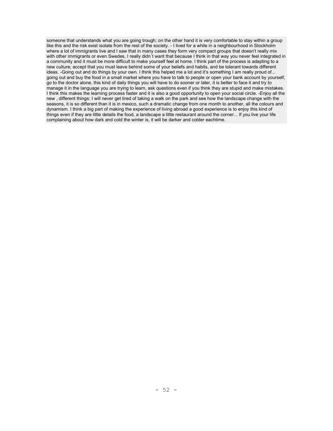someone that understands what you are going trough; on the other hand it is very comfortable to stay within a group like this and the risk exist isolate from the rest of the society. - I lived for a while in a neighbourhood in Stockholm where a lot of immigrants live and I saw that in many cases they form very compact groups that doesn't really mix with other immigrants or even Swedes, I really didn't want that because I think in that way you never feel integrated in a community and it must be more difficult to make yourself feel at home. I think part of the process is adapting to a new culture; accept that you must leave behind some of your beliefs and habits, and be tolerant towards different ideas. -Going out and do things by your own. I think this helped me a lot and it's something I am really proud of... going out and buy the food in a small market where you have to talk to people or open your bank account by yourself, go to the doctor alone, this kind of daily things you will have to do sooner or later, it is better to face it and try to manage it in the language you are trying to learn, ask questions even if you think they are stupid and make mistakes. I think this makes the learning process faster and it is also a good opportunity to open your social circle. -Enjoy all the new , different things: I will never get tired of taking a walk on the park and see how the landscape change with the seasons, it is so different than it is in mexico, such a dramatic change from one month to another, all the colours and dynamism. I think a big part of making the experience of living abroad a good experience is to enjoy this kind of things even if they are little details the food, a landscape a little restaurant around the corner... If you live your life complaining about how dark and cold the winter is, it will be darker and colder eachtime.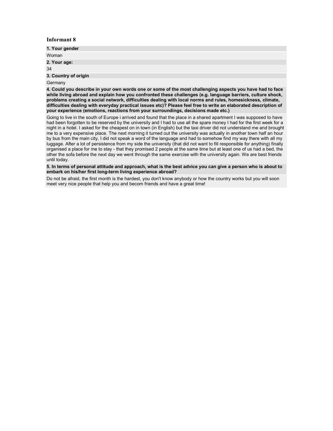| 1. Your gender       |  |
|----------------------|--|
| Woman                |  |
| 2. Your age:         |  |
| 34                   |  |
| 3. Country of origin |  |

Germany

**4. Could you describe in your own words one or some of the most challenging aspects you have had to face while living abroad and explain how you confronted these challenges (e.g. language barriers, culture shock, problems creating a social network, difficulties dealing with local norms and rules, homesickness, climate, difficulties dealing with everyday practical issues etc)? Please feel free to write an elaborated description of your experience (emotions, reactions from your surroundings, decisions made etc.)** 

Going to live in the south of Europe i arrived and found that the place in a shared apartment I was supposed to have had been forgotten to be reserved by the university and I had to use all the spare money I had for the first week for a night in a hotel. I asked for the cheapest on in town (in English) but the taxi driver did not understand me and brought me to a very expensive place. The next morning it turned out the university was actually in another town half an hour by bus from the main city, I did not speak a word of the language and had to somehow find my way there with all my luggage. After a lot of persistence from my side the university (that did not want to fill responsible for anything) finally organised a place for me to stay - that they promised 2 people at the same time but at least one of us had a bed, the other the sofa before the next day we went through the same exercise with the university again. We are best friends until today.

**5. In terms of personal attitude and approach, what is the best advice you can give a person who is about to embark on his/her first long-term living experience abroad?** 

Do not be afraid, the first month is the hardest, you don't know anybody or how the country works but you will soon meet very nice people that help you and becom friends and have a great time!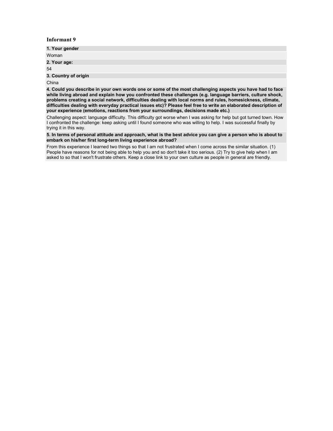| 1. Your gender       |  |
|----------------------|--|
|                      |  |
| Woman                |  |
|                      |  |
|                      |  |
| 2. Your age:         |  |
|                      |  |
|                      |  |
| 54                   |  |
|                      |  |
|                      |  |
|                      |  |
|                      |  |
| 3. Country of origin |  |

China

**4. Could you describe in your own words one or some of the most challenging aspects you have had to face while living abroad and explain how you confronted these challenges (e.g. language barriers, culture shock, problems creating a social network, difficulties dealing with local norms and rules, homesickness, climate, difficulties dealing with everyday practical issues etc)? Please feel free to write an elaborated description of your experience (emotions, reactions from your surroundings, decisions made etc.)** 

Challenging aspect: language difficulty. This difficulty got worse when I was asking for help but got turned town. How I confronted the challenge: keep asking until I found someone who was willing to help. I was successful finally by trying it in this way.

**5. In terms of personal attitude and approach, what is the best advice you can give a person who is about to embark on his/her first long-term living experience abroad?** 

From this experience I learned two things so that I am not frustrated when I come across the similar situation. (1) People have reasons for not being able to help you and so don't take it too serious. (2) Try to give help when I am asked to so that I won't frustrate others. Keep a close link to your own culture as people in general are friendly.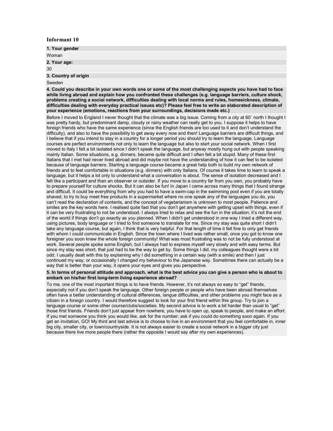| 1. Your gender       |  |
|----------------------|--|
| Woman                |  |
| 2. Your age:         |  |
| 30                   |  |
| 3. Country of origin |  |

#### Sweden

**4. Could you describe in your own words one or some of the most challenging aspects you have had to face while living abroad and explain how you confronted these challenges (e.g. language barriers, culture shock, problems creating a social network, difficulties dealing with local norms and rules, homesickness, climate, difficulties dealing with everyday practical issues etc)? Please feel free to write an elaborated description of your experience (emotions, reactions from your surroundings, decisions made etc.)** 

Before I moved to England I never thought that the climate was a big issue. Coming from a city at 60˚ north I thought I was pretty hardy, but predominant damp, cloudy or rainy weather can really get to you. I suppose it helps to have foreign friends who have the same experience (since the English friends are too used to it and don't understand the difficulty), and also to have the possibility to get away every now and then! Language barriers are difficult things, and I believe that if you intend to stay in a country for a longer period you should try to learn the language. Language courses are perfect environments not only to learn the language but also to start your social network. When I first moved to Italy I felt a bit isolated since I didn't speak the language, but anyway mostly hung out with people speaking mainly Italian. Some situations, e.g. dinners, became quite difficult and I often felt a bit stupid. Many of these first Italians that I met had never lived abroad and did maybe not have the understanding of how it can feel to be isolated because of language barriers. Starting a language course became a great help both to build my own network of friends and to feel comfortable in situations (e.g. dinners) with only Italians. Of course it takes time to learn to speak a language, but it helps a lot only to understand what a conversation is about. The sense of isolation decreased and I felt like a participant and than an observer or outsider. If you move to a country far from you own, you probably have to prepare yourself for culture shocks. But it can also be fun! In Japan I came across many things that I found strange and difficult. It could be everything from why you had to have a swim-cap in the swimming pool even if you are totally shaved, to try to buy meet free products in a supermarket where no one speak any of the languages you do, you can't read the declaration of contents, and the concept of vegetarianism is unknown to most people. Patience and smiles are the key words here. I realised quite fast that you don't get anywhere with getting upset with things, even if it can be very frustrating to not be understood. I always tried to relax and see the fun in the situation; it's not the end of the world if things don't go exactly as you planned. When I didn't get understood in one way I tried a different way, using pictures, body language or I tried to find someone to translate for me. Since my stay was quite short I didn't take any language course, but again, I think that is very helpful. For that length of time it felt fine to only get friends with whom I could communicate in English. Since the town where I lived was rather small, once you got to know one foreigner you soon knew the whole foreign community! What was most frustrating was to not be fully understood at work. Several people spoke some English, but I always had to express myself very slowly and with easy terms. But since my stay was short, that just had to be the way to get by. Some things I did, my colleagues thought were a bit odd. I usually dealt with this by explaining why I did something in a certain way (with a smile) and then I just continued my way; or occasionally I changed my behaviour to the Japanese way. Sometimes there can actually be a way that is better than your way, it opens your eyes and gives you perspective.

#### **5. In terms of personal attitude and approach, what is the best advice you can give a person who is about to embark on his/her first long-term living experience abroad?**

To me, one of the most important things is to have friends. However, it's not always so easy to "get" friends, especially not if you don't speak the language. Other foreign people or people who have been abroad themselves often have a better understanding of cultural differences, langue difficulties, and other problems you might face as a citizen in a foreign country. I would therefore suggest to look for your first friend within this group. Try to join a language course or some other course/clubs/societies. My second advice is to work a bit harder than usual to "get" those first friends. Friends don't just appear from nowhere, you have to open up, speak to people, and make an effort. If you met someone you think you would like, ask for the number; ask if you could do something soon again. If you get an invitation, GO! My third and last advice is to choose to live in an environment that you feel comfortable in, inner big city, smaller city, or town/countryside. It is not always easier to create a social network in a bigger city just because there live more people there (rather the opposite I would say after my own experiences).